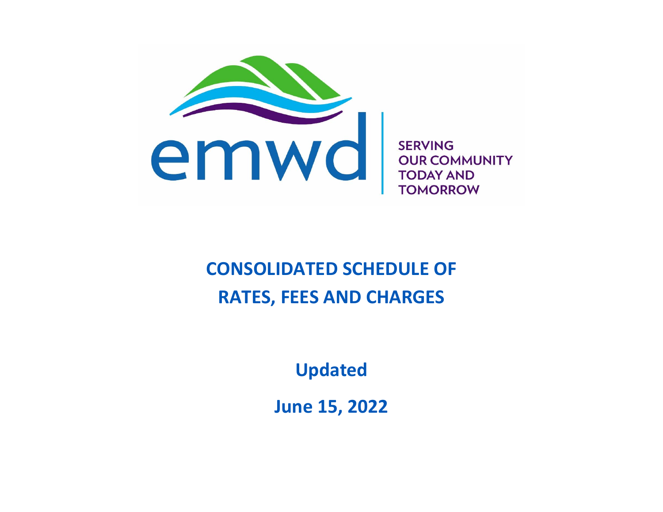

**SERVING OUR COMMUNITY TODAY AND TOMORROW** 

# **CONSOLIDATED SCHEDULE OF RATES, FEES AND CHARGES**

**Updated**

**June 15, 2022**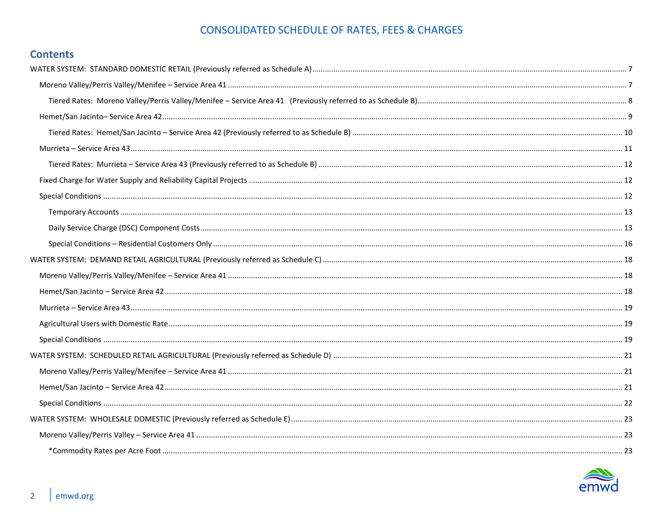## **Contents**

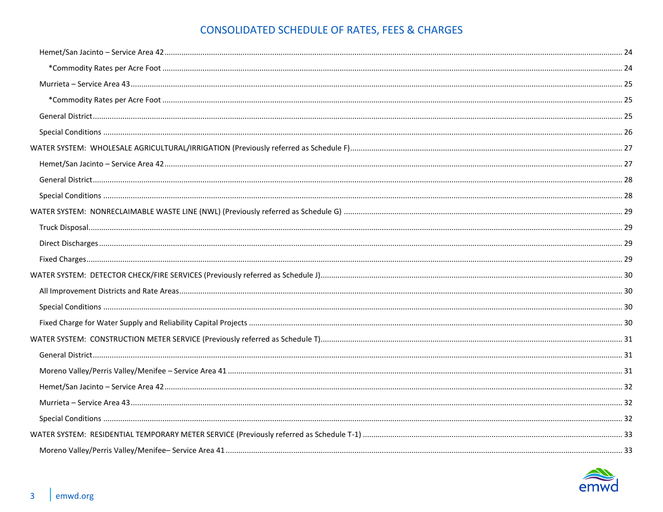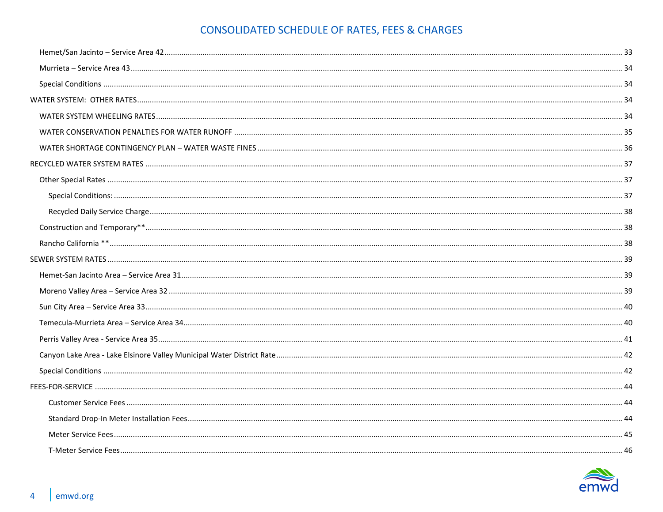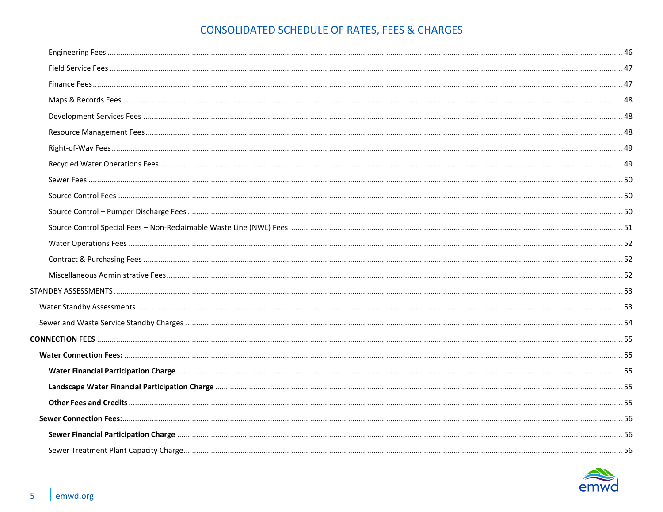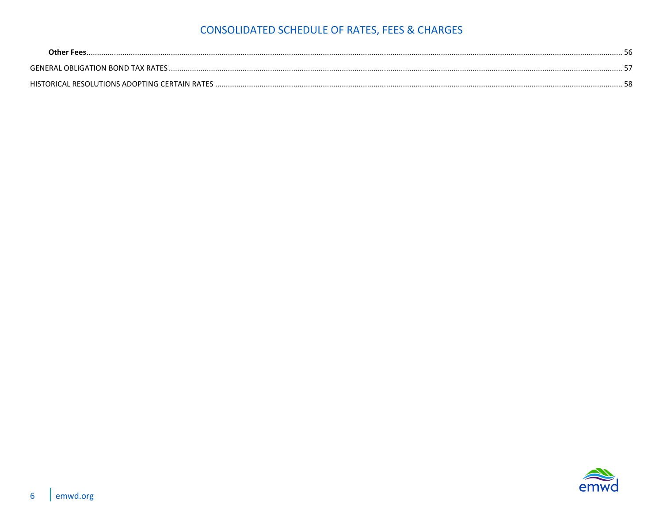| <b>GENERAL OBLIGATION BOND TAX RATES</b>            |
|-----------------------------------------------------|
| HISTORICAL RESOLUTIONS ADOPTING CERTAIN RATES<br>-ი |

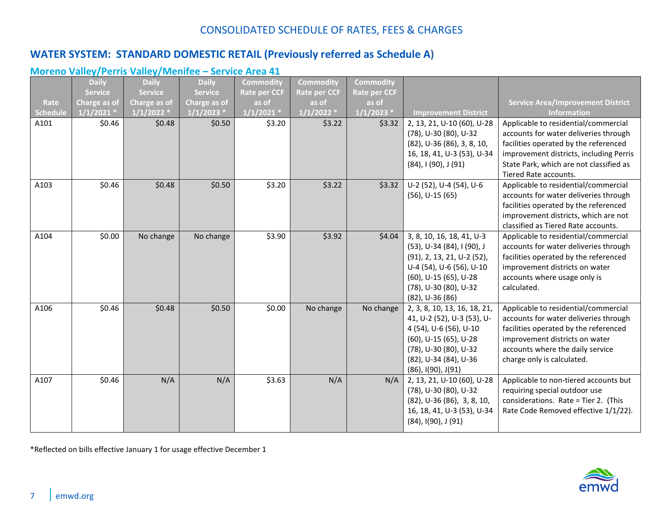## <span id="page-6-0"></span>**WATER SYSTEM: STANDARD DOMESTIC RETAIL (Previously referred as Schedule A)**

### <span id="page-6-1"></span>**Moreno Valley/Perris Valley/Menifee – Service Area 41**

|          | <b>Daily</b>   | <b>Daily</b>   | <b>Daily</b>   | <b>Commodity</b>    | Commodity           | <b>Commodity</b>    |                                                                                                                                                                                             |                                                                                                                                                                                                                                       |
|----------|----------------|----------------|----------------|---------------------|---------------------|---------------------|---------------------------------------------------------------------------------------------------------------------------------------------------------------------------------------------|---------------------------------------------------------------------------------------------------------------------------------------------------------------------------------------------------------------------------------------|
|          | <b>Service</b> | <b>Service</b> | <b>Service</b> | <b>Rate per CCF</b> | <b>Rate per CCF</b> | <b>Rate per CCF</b> |                                                                                                                                                                                             |                                                                                                                                                                                                                                       |
| Rate     | Charge as of   | Charge as of   | Charge as of   | as of               | as of               | as of               |                                                                                                                                                                                             | <b>Service Area/Improvement District</b>                                                                                                                                                                                              |
| Schedule | $1/1/2021$ *   | $1/1/2022$ *   | $1/1/2023$ *   | $1/1/2021$ *        | $1/1/2022$ *        | $1/1/2023$ *        | <b>Improvement District</b>                                                                                                                                                                 | <b>Information</b>                                                                                                                                                                                                                    |
| A101     | \$0.46         | \$0.48         | \$0.50         | \$3.20              | \$3.22              | \$3.32              | 2, 13, 21, U-10 (60), U-28<br>(78), U-30 (80), U-32<br>(82), U-36 (86), 3, 8, 10,<br>16, 18, 41, U-3 (53), U-34<br>(84), I (90), J (91)                                                     | Applicable to residential/commercial<br>accounts for water deliveries through<br>facilities operated by the referenced<br>improvement districts, including Perris<br>State Park, which are not classified as<br>Tiered Rate accounts. |
| A103     | \$0.46         | \$0.48         | \$0.50         | \$3.20              | \$3.22              | \$3.32              | U-2 (52), U-4 (54), U-6<br>$(56)$ , U-15 $(65)$                                                                                                                                             | Applicable to residential/commercial<br>accounts for water deliveries through<br>facilities operated by the referenced<br>improvement districts, which are not<br>classified as Tiered Rate accounts.                                 |
| A104     | \$0.00         | No change      | No change      | \$3.90              | \$3.92              | \$4.04              | 3, 8, 10, 16, 18, 41, U-3<br>(53), U-34 (84), I (90), J<br>(91), 2, 13, 21, U-2 (52),<br>U-4 (54), U-6 (56), U-10<br>(60), U-15 (65), U-28<br>(78), U-30 (80), U-32<br>$(82)$ , U-36 $(86)$ | Applicable to residential/commercial<br>accounts for water deliveries through<br>facilities operated by the referenced<br>improvement districts on water<br>accounts where usage only is<br>calculated.                               |
| A106     | \$0.46         | \$0.48         | \$0.50         | \$0.00              | No change           | No change           | 2, 3, 8, 10, 13, 16, 18, 21,<br>41, U-2 (52), U-3 (53), U-<br>4 (54), U-6 (56), U-10<br>(60), U-15 (65), U-28<br>(78), U-30 (80), U-32<br>(82), U-34 (84), U-36<br>(86), I(90), J(91)       | Applicable to residential/commercial<br>accounts for water deliveries through<br>facilities operated by the referenced<br>improvement districts on water<br>accounts where the daily service<br>charge only is calculated.            |
| A107     | \$0.46         | N/A            | N/A            | \$3.63              | N/A                 | N/A                 | 2, 13, 21, U-10 (60), U-28<br>(78), U-30 (80), U-32<br>$(82)$ , U-36 $(86)$ , 3, 8, 10,<br>16, 18, 41, U-3 (53), U-34<br>(84), I(90), J (91)                                                | Applicable to non-tiered accounts but<br>requiring special outdoor use<br>considerations. Rate = Tier 2. (This<br>Rate Code Removed effective 1/1/22).                                                                                |

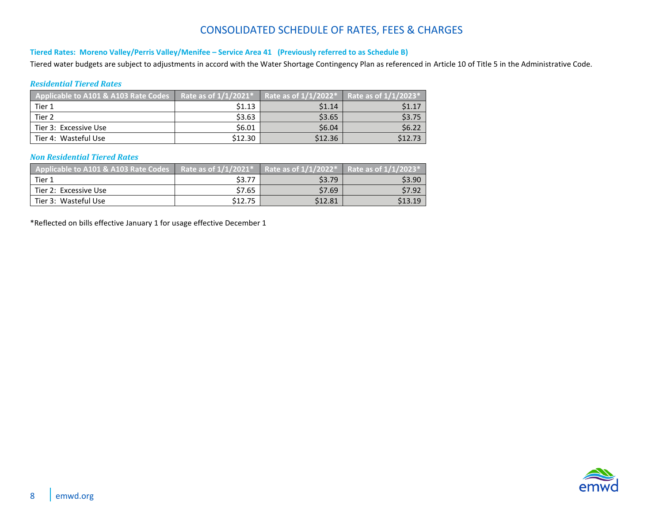#### <span id="page-7-0"></span>**Tiered Rates: Moreno Valley/Perris Valley/Menifee – Service Area 41 (Previously referred to as Schedule B)**

Tiered water budgets are subject to adjustments in accord with the Water Shortage Contingency Plan as referenced in Article 10 of Title 5 in the Administrative Code.

#### *Residential Tiered Rates*

| Applicable to A101 & A103 Rate Codes | Rate as of $1/1/2021$ * $^{\circ}$ | Rate as of $1/1/2022$ <sup>*</sup> | Rate as of $1/1/2023$ <sup>*</sup> |
|--------------------------------------|------------------------------------|------------------------------------|------------------------------------|
| Tier 1                               | \$1.13                             | \$1.14                             | \$1.17                             |
| Tier 2                               | \$3.63                             | \$3.65                             | \$3.75                             |
| Tier 3: Excessive Use                | \$6.01                             | \$6.04                             | \$6.22                             |
| Tier 4: Wasteful Use                 | \$12.30                            | \$12.36                            | \$12.73                            |

#### *Non Residential Tiered Rates*

| Applicable to A101 & A103 Rate Codes |         | Rate as of $1/1/2021^*$   Rate as of $1/1/2022^*$   Rate as of $1/1/2023^*$ |         |
|--------------------------------------|---------|-----------------------------------------------------------------------------|---------|
| Tier 1                               | \$3.77  | \$3.79                                                                      | \$3.90  |
| Tier 2: Excessive Use                | \$7.65  | \$7.69                                                                      | \$7.92  |
| Tier 3: Wasteful Use                 | \$12.75 | \$12.81                                                                     | \$13.19 |

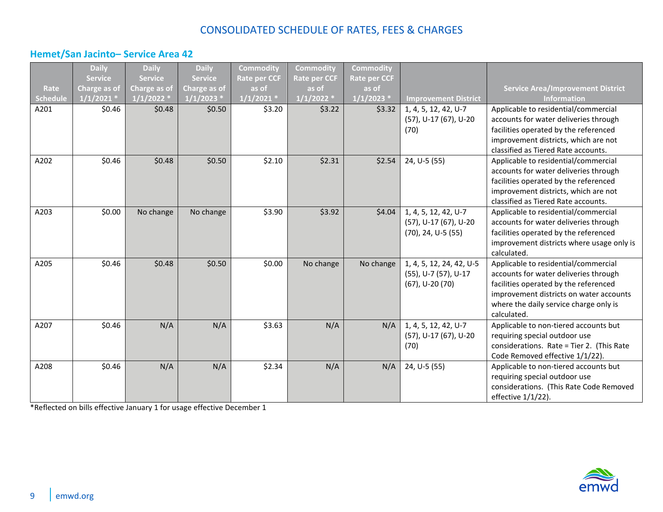### <span id="page-8-0"></span>**Hemet/San Jacinto– Service Area 42**

|                 | <b>Daily</b>   | <b>Daily</b>   | <b>Daily</b>   | <b>Commodity</b>    | <b>Commodity</b>    | <b>Commodity</b>    |                             |                                           |
|-----------------|----------------|----------------|----------------|---------------------|---------------------|---------------------|-----------------------------|-------------------------------------------|
|                 | <b>Service</b> | <b>Service</b> | <b>Service</b> | <b>Rate per CCF</b> | <b>Rate per CCF</b> | <b>Rate per CCF</b> |                             |                                           |
| Rate            | Charge as of   | Charge as of   | Charge as of   | as of               | as of               | as of               |                             | <b>Service Area/Improvement District</b>  |
| <b>Schedule</b> | 1/1/2021       | 1/1/2022       | 1/1/2023       | $1/1/2021$ *        | $1/1/2022$ *        | 1/1/2023            | <b>Improvement District</b> | <b>Information</b>                        |
| A201            | \$0.46         | \$0.48         | \$0.50         | \$3.20              | \$3.22              | \$3.32              | 1, 4, 5, 12, 42, U-7        | Applicable to residential/commercial      |
|                 |                |                |                |                     |                     |                     | (57), U-17 (67), U-20       | accounts for water deliveries through     |
|                 |                |                |                |                     |                     |                     | (70)                        | facilities operated by the referenced     |
|                 |                |                |                |                     |                     |                     |                             | improvement districts, which are not      |
|                 |                |                |                |                     |                     |                     |                             | classified as Tiered Rate accounts.       |
| A202            | \$0.46         | \$0.48         | \$0.50         | \$2.10              | \$2.31              | \$2.54              | 24, U-5 (55)                | Applicable to residential/commercial      |
|                 |                |                |                |                     |                     |                     |                             | accounts for water deliveries through     |
|                 |                |                |                |                     |                     |                     |                             | facilities operated by the referenced     |
|                 |                |                |                |                     |                     |                     |                             | improvement districts, which are not      |
|                 |                |                |                |                     |                     |                     |                             | classified as Tiered Rate accounts.       |
| A203            | \$0.00         | No change      | No change      | \$3.90              | \$3.92              | \$4.04              | 1, 4, 5, 12, 42, U-7        | Applicable to residential/commercial      |
|                 |                |                |                |                     |                     |                     | (57), U-17 (67), U-20       | accounts for water deliveries through     |
|                 |                |                |                |                     |                     |                     | $(70)$ , 24, U-5 $(55)$     | facilities operated by the referenced     |
|                 |                |                |                |                     |                     |                     |                             | improvement districts where usage only is |
|                 |                |                |                |                     |                     |                     |                             | calculated.                               |
| A205            | \$0.46         | \$0.48         | \$0.50         | \$0.00              | No change           | No change           | 1, 4, 5, 12, 24, 42, U-5    | Applicable to residential/commercial      |
|                 |                |                |                |                     |                     |                     | (55), U-7 (57), U-17        | accounts for water deliveries through     |
|                 |                |                |                |                     |                     |                     | $(67)$ , U-20 $(70)$        | facilities operated by the referenced     |
|                 |                |                |                |                     |                     |                     |                             | improvement districts on water accounts   |
|                 |                |                |                |                     |                     |                     |                             | where the daily service charge only is    |
|                 |                |                |                |                     |                     |                     |                             | calculated.                               |
| A207            | \$0.46         | N/A            | N/A            | \$3.63              | N/A                 | N/A                 | 1, 4, 5, 12, 42, U-7        | Applicable to non-tiered accounts but     |
|                 |                |                |                |                     |                     |                     | (57), U-17 (67), U-20       | requiring special outdoor use             |
|                 |                |                |                |                     |                     |                     | (70)                        | considerations. Rate = Tier 2. (This Rate |
|                 |                |                |                |                     |                     |                     |                             | Code Removed effective 1/1/22).           |
| A208            | \$0.46         | N/A            | N/A            | \$2.34              | N/A                 | N/A                 | 24, U-5 (55)                | Applicable to non-tiered accounts but     |
|                 |                |                |                |                     |                     |                     |                             | requiring special outdoor use             |
|                 |                |                |                |                     |                     |                     |                             | considerations. (This Rate Code Removed   |
|                 |                |                |                |                     |                     |                     |                             | effective 1/1/22).                        |

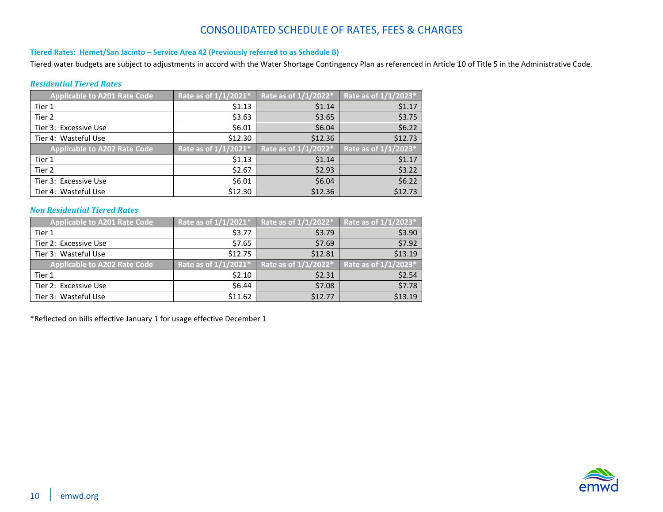#### <span id="page-9-0"></span>**Tiered Rates: Hemet/San Jacinto – Service Area 42 (Previously referred to as Schedule B)**

Tiered water budgets are subject to adjustments in accord with the Water Shortage Contingency Plan as referenced in Article 10 of Title 5 in the Administrative Code.

#### *Residential Tiered Rates*

| <b>Applicable to A201 Rate Code</b> | Rate as of 1/1/2021* | Rate as of 1/1/2022* | Rate as of 1/1/2023* |
|-------------------------------------|----------------------|----------------------|----------------------|
| Tier 1                              | \$1.13               | \$1.14               | \$1.17               |
| Tier <sub>2</sub>                   | \$3.63               | \$3.65               | \$3.75               |
| Tier 3: Excessive Use               | \$6.01               | \$6.04               | \$6.22               |
| Tier 4: Wasteful Use                | \$12.30              | \$12.36              | \$12.73              |
|                                     |                      |                      |                      |
| <b>Applicable to A202 Rate Code</b> | Rate as of 1/1/2021* | Rate as of 1/1/2022* | Rate as of 1/1/2023* |
| Tier 1                              | \$1.13               | \$1.14               | \$1.17               |
| Tier 2                              | \$2.67               | \$2.93               | \$3.22               |
| Tier 3: Excessive Use               | \$6.01               | \$6.04               | \$6.22               |

#### *Non Residential Tiered Rates*

| <b>Applicable to A201 Rate Code</b> | Rate as of 1/1/2021* | Rate as of 1/1/2022* | Rate as of 1/1/2023* |
|-------------------------------------|----------------------|----------------------|----------------------|
| Tier 1                              | \$3.77               | \$3.79               | \$3.90               |
| Tier 2: Excessive Use               | \$7.65               | \$7.69               | \$7.92               |
| Tier 3: Wasteful Use                | \$12.75              | \$12.81              | \$13.19              |
| <b>Applicable to A202 Rate Code</b> | Rate as of 1/1/2021* | Rate as of 1/1/2022* | Rate as of 1/1/2023* |
| Tier 1                              | \$2.10               | \$2.31               | \$2.54               |
|                                     |                      |                      |                      |
| Tier 2: Excessive Use               | \$6.44               | \$7.08               | \$7.78               |

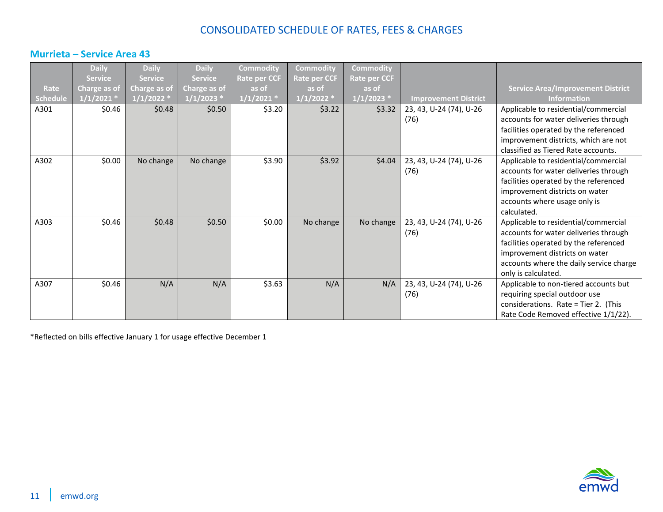### <span id="page-10-0"></span>**Murrieta – Service Area 43**

|          | <b>Daily</b>   | <b>Daily</b>        | <b>Daily</b>   | <b>Commodity</b> | <b>Commodity</b>    | Commodity           |                             |                                          |
|----------|----------------|---------------------|----------------|------------------|---------------------|---------------------|-----------------------------|------------------------------------------|
|          | <b>Service</b> | <b>Service</b>      | <b>Service</b> | Rate per CCF     | <b>Rate per CCF</b> | <b>Rate per CCF</b> |                             |                                          |
| Rate     | Charge as of   | <b>Charge as of</b> | Charge as of   | as of            | as of               | as of               |                             | <b>Service Area/Improvement District</b> |
| Schedule | $1/1/2021$ *   | 1/1/2022            | $1/1/2023$ *   | $1/1/2021$ *     | $1/1/2022$ *        | $1/1/2023$ *        | <b>Improvement District</b> | <b>Information</b>                       |
| A301     | \$0.46         | \$0.48              | \$0.50         | \$3.20           | \$3.22              | \$3.32              | 23, 43, U-24 (74), U-26     | Applicable to residential/commercial     |
|          |                |                     |                |                  |                     |                     | (76)                        | accounts for water deliveries through    |
|          |                |                     |                |                  |                     |                     |                             | facilities operated by the referenced    |
|          |                |                     |                |                  |                     |                     |                             | improvement districts, which are not     |
|          |                |                     |                |                  |                     |                     |                             | classified as Tiered Rate accounts.      |
| A302     | \$0.00         | No change           | No change      | \$3.90           | \$3.92              | \$4.04              | 23, 43, U-24 (74), U-26     | Applicable to residential/commercial     |
|          |                |                     |                |                  |                     |                     | (76)                        | accounts for water deliveries through    |
|          |                |                     |                |                  |                     |                     |                             | facilities operated by the referenced    |
|          |                |                     |                |                  |                     |                     |                             | improvement districts on water           |
|          |                |                     |                |                  |                     |                     |                             | accounts where usage only is             |
|          |                |                     |                |                  |                     |                     |                             | calculated.                              |
| A303     | \$0.46         | \$0.48              | \$0.50         | \$0.00           | No change           | No change           | 23, 43, U-24 (74), U-26     | Applicable to residential/commercial     |
|          |                |                     |                |                  |                     |                     | (76)                        | accounts for water deliveries through    |
|          |                |                     |                |                  |                     |                     |                             | facilities operated by the referenced    |
|          |                |                     |                |                  |                     |                     |                             | improvement districts on water           |
|          |                |                     |                |                  |                     |                     |                             | accounts where the daily service charge  |
|          |                |                     |                |                  |                     |                     |                             | only is calculated.                      |
| A307     | \$0.46         | N/A                 | N/A            | \$3.63           | N/A                 | N/A                 | 23, 43, U-24 (74), U-26     | Applicable to non-tiered accounts but    |
|          |                |                     |                |                  |                     |                     | (76)                        | requiring special outdoor use            |
|          |                |                     |                |                  |                     |                     |                             | considerations. Rate = Tier 2. (This     |
|          |                |                     |                |                  |                     |                     |                             | Rate Code Removed effective 1/1/22).     |

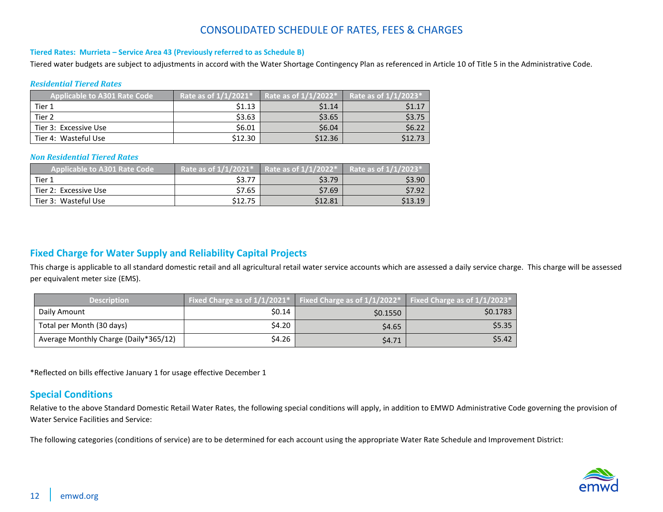#### <span id="page-11-0"></span>**Tiered Rates: Murrieta – Service Area 43 (Previously referred to as Schedule B)**

Tiered water budgets are subject to adjustments in accord with the Water Shortage Contingency Plan as referenced in Article 10 of Title 5 in the Administrative Code.

#### *Residential Tiered Rates*

| Applicable to A301 Rate Code | Rate as of 1/1/2021* | Rate as of $1/1/2022$ * | Rate as of 1/1/2023* |
|------------------------------|----------------------|-------------------------|----------------------|
| Tier 1                       | \$1.13               | \$1.14                  | \$1.17               |
| Tier <sub>2</sub>            | \$3.63               | \$3.65                  | \$3.75               |
| Tier 3: Excessive Use        | \$6.01               | \$6.04                  | \$6.22               |
| Tier 4: Wasteful Use         | \$12.30              | \$12.36                 | \$12.73              |

#### *Non Residential Tiered Rates*

| Applicable to A301 Rate Code | Rate as of $1/1/2021$ <sup>*</sup> | Rate as of $1/1/2022*$ | Rate as of $1/1/2023$ * |
|------------------------------|------------------------------------|------------------------|-------------------------|
| Tier 1                       | \$3.77                             | \$3.79                 | \$3.90                  |
| Tier 2: Excessive Use        | \$7.65                             | \$7.69                 | \$7.92                  |
| Tier 3: Wasteful Use         | \$12.75                            | \$12.81                | \$13.19                 |

#### <span id="page-11-1"></span>**Fixed Charge for Water Supply and Reliability Capital Projects**

This charge is applicable to all standard domestic retail and all agricultural retail water service accounts which are assessed a daily service charge. This charge will be assessed per equivalent meter size (EMS).

| <b>Description</b>                    | Fixed Charge as of $1/1/2021^*$ Fixed Charge as of $1/1/2022^*$ Fixed Charge as of $1/1/2023^*$ |          |          |
|---------------------------------------|-------------------------------------------------------------------------------------------------|----------|----------|
| Daily Amount                          | \$0.14                                                                                          | \$0.1550 | \$0.1783 |
| Total per Month (30 days)             | \$4.20                                                                                          | \$4.65   | \$5.35   |
| Average Monthly Charge (Daily*365/12) | \$4.26                                                                                          | \$4.71   | \$5.42   |

\*Reflected on bills effective January 1 for usage effective December 1

#### <span id="page-11-2"></span>**Special Conditions**

Relative to the above Standard Domestic Retail Water Rates, the following special conditions will apply, in addition to EMWD Administrative Code governing the provision of Water Service Facilities and Service:

The following categories (conditions of service) are to be determined for each account using the appropriate Water Rate Schedule and Improvement District:

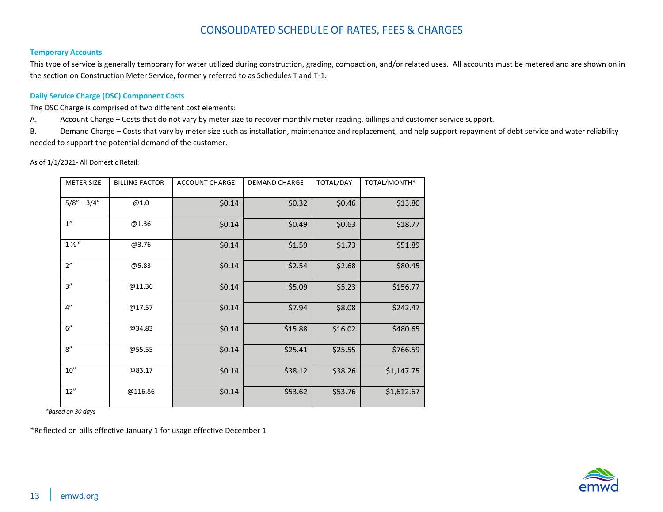#### <span id="page-12-0"></span>**Temporary Accounts**

This type of service is generally temporary for water utilized during construction, grading, compaction, and/or related uses. All accounts must be metered and are shown on in the section on Construction Meter Service, formerly referred to as Schedules T and T-1.

#### <span id="page-12-1"></span>**Daily Service Charge (DSC) Component Costs**

The DSC Charge is comprised of two different cost elements:

A. Account Charge – Costs that do not vary by meter size to recover monthly meter reading, billings and customer service support.

B. Demand Charge – Costs that vary by meter size such as installation, maintenance and replacement, and help support repayment of debt service and water reliability needed to support the potential demand of the customer.

As of 1/1/2021- All Domestic Retail:

| <b>METER SIZE</b>  | <b>BILLING FACTOR</b> | <b>ACCOUNT CHARGE</b> | <b>DEMAND CHARGE</b> | TOTAL/DAY | TOTAL/MONTH* |
|--------------------|-----------------------|-----------------------|----------------------|-----------|--------------|
| $5/8" - 3/4"$      | @1.0                  | \$0.14                | \$0.32               | \$0.46    | \$13.80      |
| $1^{\prime\prime}$ | @1.36                 | \$0.14                | \$0.49               | \$0.63    | \$18.77      |
| $1\frac{1}{2}$ "   | @3.76                 | \$0.14                | \$1.59               | \$1.73    | \$51.89      |
| 2"                 | @5.83                 | \$0.14                | \$2.54               | \$2.68    | \$80.45      |
| 3''                | @11.36                | \$0.14                | \$5.09               | \$5.23    | \$156.77     |
| 4"                 | @17.57                | \$0.14                | \$7.94               | \$8.08    | \$242.47     |
| 6"                 | @34.83                | \$0.14                | \$15.88              | \$16.02   | \$480.65     |
| 8"                 | @55.55                | \$0.14                | \$25.41              | \$25.55   | \$766.59     |
| 10''               | @83.17                | \$0.14                | \$38.12              | \$38.26   | \$1,147.75   |
| 12"                | @116.86               | \$0.14                | \$53.62              | \$53.76   | \$1,612.67   |

 *\*Based on 30 days*

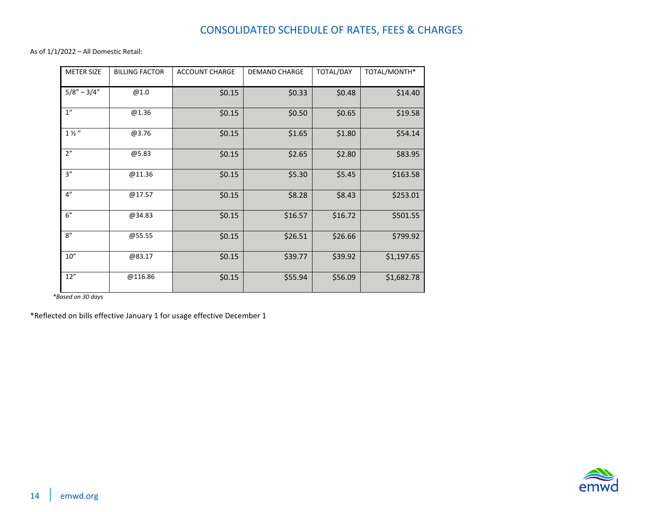As of 1/1/2022 – All Domestic Retail:

| <b>METER SIZE</b> | <b>BILLING FACTOR</b> | <b>ACCOUNT CHARGE</b> | <b>DEMAND CHARGE</b> | <b>TOTAL/DAY</b> | TOTAL/MONTH* |
|-------------------|-----------------------|-----------------------|----------------------|------------------|--------------|
| $5/8'' - 3/4''$   | @1.0                  | \$0.15                | \$0.33               | \$0.48           | \$14.40      |
| 1 <sup>''</sup>   | @1.36                 | \$0.15                | \$0.50               | \$0.65           | \$19.58      |
| $1\frac{1}{2}$ "  | @3.76                 | \$0.15                | \$1.65               | \$1.80           | \$54.14      |
| 2"                | @5.83                 | \$0.15                | \$2.65               | \$2.80           | \$83.95      |
| 3''               | @11.36                | \$0.15                | \$5.30               | \$5.45           | \$163.58     |
| 4"                | @17.57                | \$0.15                | \$8.28               | \$8.43           | \$253.01     |
| 6"                | @34.83                | \$0.15                | \$16.57              | \$16.72          | \$501.55     |
| 8''               | @55.55                | \$0.15                | \$26.51              | \$26.66          | \$799.92     |
| 10''              | @83.17                | \$0.15                | \$39.77              | \$39.92          | \$1,197.65   |
| 12"               | @116.86               | \$0.15                | \$55.94              | \$56.09          | \$1,682.78   |

 *\*Based on 30 days*

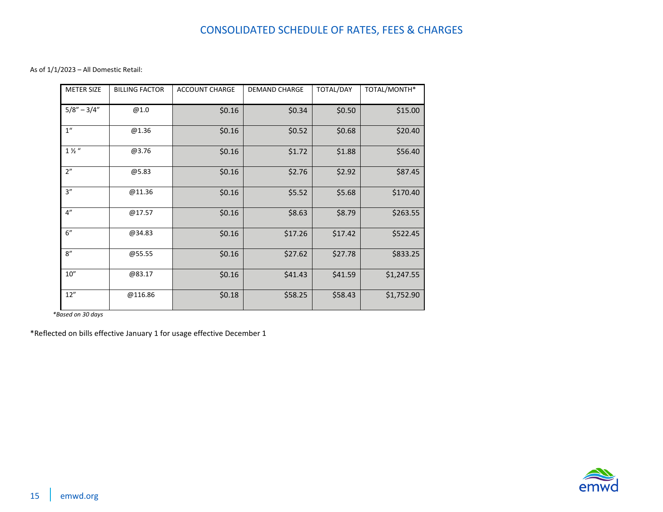As of 1/1/2023 – All Domestic Retail:

| <b>METER SIZE</b> | <b>BILLING FACTOR</b> | <b>ACCOUNT CHARGE</b> | <b>DEMAND CHARGE</b> | <b>TOTAL/DAY</b> | TOTAL/MONTH* |
|-------------------|-----------------------|-----------------------|----------------------|------------------|--------------|
| $5/8" - 3/4"$     | @1.0                  | \$0.16                | \$0.34               | \$0.50           | \$15.00      |
| 1 <sup>''</sup>   | @1.36                 | \$0.16                | \$0.52               | \$0.68           | \$20.40      |
| $1\frac{1}{2}$ "  | @3.76                 | \$0.16                | \$1.72               | \$1.88           | \$56.40      |
| 2"                | @5.83                 | \$0.16                | \$2.76               | \$2.92           | \$87.45      |
| 3''               | @11.36                | \$0.16                | \$5.52               | \$5.68           | \$170.40     |
| 4"                | @17.57                | \$0.16                | \$8.63               | \$8.79           | \$263.55     |
| 6"                | @34.83                | \$0.16                | \$17.26              | \$17.42          | \$522.45     |
| 8''               | @55.55                | \$0.16                | \$27.62              | \$27.78          | \$833.25     |
| 10''              | @83.17                | \$0.16                | \$41.43              | \$41.59          | \$1,247.55   |
| 12"               | @116.86               | \$0.18                | \$58.25              | \$58.43          | \$1,752.90   |

 *\*Based on 30 days*

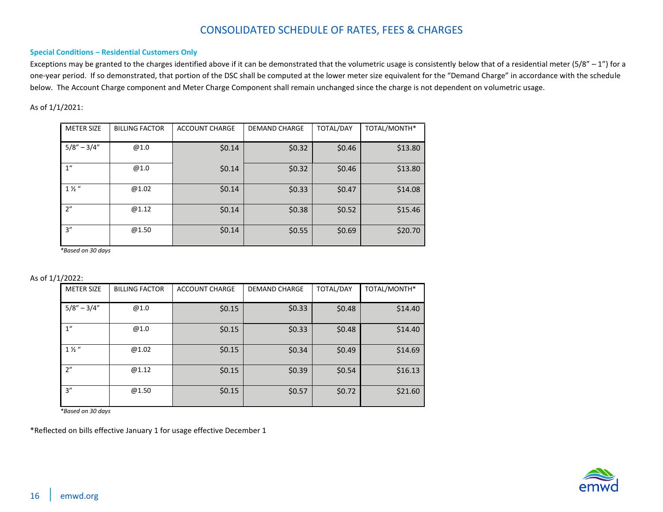#### <span id="page-15-0"></span>**Special Conditions – Residential Customers Only**

Exceptions may be granted to the charges identified above if it can be demonstrated that the volumetric usage is consistently below that of a residential meter (5/8" - 1") for a one-year period. If so demonstrated, that portion of the DSC shall be computed at the lower meter size equivalent for the "Demand Charge" in accordance with the schedule below. The Account Charge component and Meter Charge Component shall remain unchanged since the charge is not dependent on volumetric usage.

#### As of 1/1/2021:

| <b>METER SIZE</b> | <b>BILLING FACTOR</b> | <b>ACCOUNT CHARGE</b> | <b>DEMAND CHARGE</b> | TOTAL/DAY | TOTAL/MONTH* |
|-------------------|-----------------------|-----------------------|----------------------|-----------|--------------|
| $5/8'' - 3/4''$   | @1.0                  | \$0.14                | \$0.32               | \$0.46    | \$13.80      |
| 1 <sup>''</sup>   | @1.0                  | \$0.14                | \$0.32               | \$0.46    | \$13.80      |
| $1\frac{1}{2}$    | @1.02                 | \$0.14                | \$0.33               | \$0.47    | \$14.08      |
| 2"                | @1.12                 | \$0.14                | \$0.38               | \$0.52    | \$15.46      |
| 3''               | @1.50                 | \$0.14                | \$0.55               | \$0.69    | \$20.70      |

*\*Based on 30 days*

As of 1/1/2022:

| <b>METER SIZE</b> | <b>BILLING FACTOR</b> | <b>ACCOUNT CHARGE</b> | <b>DEMAND CHARGE</b> | <b>TOTAL/DAY</b> | TOTAL/MONTH* |
|-------------------|-----------------------|-----------------------|----------------------|------------------|--------------|
| $5/8'' - 3/4''$   | @1.0                  | \$0.15                | \$0.33               | \$0.48           | \$14.40      |
| 1 <sup>''</sup>   | @1.0                  | \$0.15                | \$0.33               | \$0.48           | \$14.40      |
| $1\frac{1}{2}$    | @1.02                 | \$0.15                | \$0.34               | \$0.49           | \$14.69      |
| 2"                | @1.12                 | \$0.15                | \$0.39               | \$0.54           | \$16.13      |
| 3''               | @1.50                 | \$0.15                | \$0.57               | \$0.72           | \$21.60      |

*\*Based on 30 days*

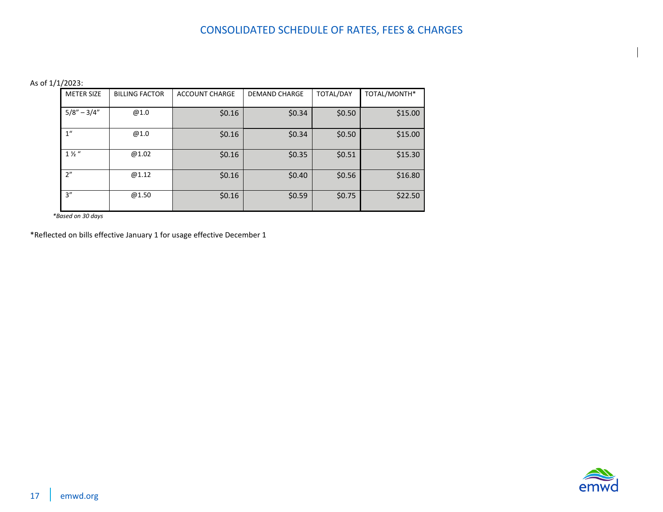As of 1/1/2023:

| <b>METER SIZE</b> | <b>BILLING FACTOR</b> | <b>ACCOUNT CHARGE</b> | <b>DEMAND CHARGE</b> | <b>TOTAL/DAY</b> | TOTAL/MONTH* |
|-------------------|-----------------------|-----------------------|----------------------|------------------|--------------|
| $5/8'' - 3/4''$   | @1.0                  | \$0.16                | \$0.34               | \$0.50           | \$15.00      |
| 1 <sup>''</sup>   | @1.0                  | \$0.16                | \$0.34               | \$0.50           | \$15.00      |
| $1\frac{1}{2}$    | @1.02                 | \$0.16                | \$0.35               | \$0.51           | \$15.30      |
| 2"                | @1.12                 | \$0.16                | \$0.40               | \$0.56           | \$16.80      |
| 3''               | @1.50                 | \$0.16                | \$0.59               | \$0.75           | \$22.50      |

 *\*Based on 30 days*

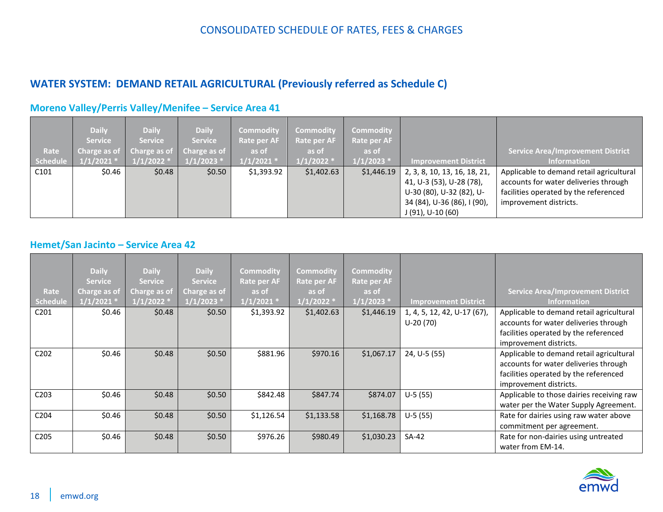## <span id="page-17-0"></span>**WATER SYSTEM: DEMAND RETAIL AGRICULTURAL (Previously referred as Schedule C)**

|          | <b>Daily</b><br><b>Service</b> | <b>Daily</b><br><b>Service</b>                         | <b>Daily</b><br><b>Service</b> | <b>Commodity</b><br>Rate per AF<br>as of | <b>Commodity</b><br>Rate per AF | Commodity<br>Rate per AF<br>as of |                              |                                          |
|----------|--------------------------------|--------------------------------------------------------|--------------------------------|------------------------------------------|---------------------------------|-----------------------------------|------------------------------|------------------------------------------|
| Rate     |                                | Charge as of $\vert$ Charge as of $\vert$ Charge as of |                                |                                          | as of                           |                                   |                              | <b>Service Area/Improvement District</b> |
| Schedule | $1/1/2021$ *                   | $1/1/2022$ *                                           | $1/1/2023$ *                   | $1/1/2021$ *                             | $1/1/2022$ *                    | $1/1/2023$ *                      | <b>Improvement District</b>  | <b>Information</b>                       |
| C101     | \$0.46                         | \$0.48                                                 | \$0.50                         | \$1,393.92                               | \$1,402.63                      | \$1,446.19                        | 2, 3, 8, 10, 13, 16, 18, 21, | Applicable to demand retail agricultural |
|          |                                |                                                        |                                |                                          |                                 |                                   | 41, U-3 (53), U-28 (78),     | accounts for water deliveries through    |
|          |                                |                                                        |                                |                                          |                                 |                                   | U-30 (80), U-32 (82), U-     | facilities operated by the referenced    |
|          |                                |                                                        |                                |                                          |                                 |                                   | 34 (84), U-36 (86), I (90),  | improvement districts.                   |
|          |                                |                                                        |                                |                                          |                                 |                                   | $J(91)$ , U-10 $(60)$        |                                          |

### <span id="page-17-1"></span>**Moreno Valley/Perris Valley/Menifee – Service Area 41**

### <span id="page-17-2"></span>**Hemet/San Jacinto – Service Area 42**

|                  | <b>Daily</b><br><b>Service</b> | <b>Daily</b><br><b>Service</b> | <b>Daily</b><br><b>Service</b> | <b>Commodity</b><br><b>Rate per AF</b> | <b>Commodity</b><br>Rate per AF | <b>Commodity</b><br>Rate per AF |                             |                                                                                                                            |
|------------------|--------------------------------|--------------------------------|--------------------------------|----------------------------------------|---------------------------------|---------------------------------|-----------------------------|----------------------------------------------------------------------------------------------------------------------------|
| Rate             | Charge as of                   | Charge as of                   | Charge as of                   | as of                                  | as of                           | as of                           |                             | <b>Service Area/Improvement District</b>                                                                                   |
| Schedule         | 1/1/2021                       | 1/1/2022                       | $1/1/2023$ *                   | $1/1/2021$ *                           | $1/1/2022$ *                    | $1/1/2023$ *                    | <b>Improvement District</b> | <b>Information</b>                                                                                                         |
| C201             | \$0.46                         | \$0.48                         | \$0.50                         | \$1,393.92                             | \$1,402.63                      | \$1,446.19                      | 1, 4, 5, 12, 42, U-17 (67), | Applicable to demand retail agricultural                                                                                   |
|                  |                                |                                |                                |                                        |                                 |                                 | $U-20(70)$                  | accounts for water deliveries through<br>facilities operated by the referenced                                             |
|                  |                                |                                |                                |                                        |                                 |                                 |                             | improvement districts.                                                                                                     |
| C <sub>202</sub> | \$0.46                         | \$0.48                         | \$0.50                         | \$881.96                               | \$970.16                        | \$1,067.17                      | 24, U-5 (55)                | Applicable to demand retail agricultural<br>accounts for water deliveries through<br>facilities operated by the referenced |
|                  |                                |                                |                                |                                        |                                 |                                 |                             | improvement districts.                                                                                                     |
| C203             | \$0.46                         | \$0.48                         | \$0.50                         | \$842.48                               | \$847.74                        | \$874.07                        | $U-5(55)$                   | Applicable to those dairies receiving raw<br>water per the Water Supply Agreement.                                         |
| C204             | \$0.46                         | \$0.48                         | \$0.50                         | \$1,126.54                             | \$1,133.58                      | \$1,168.78                      | $U-5(55)$                   | Rate for dairies using raw water above<br>commitment per agreement.                                                        |
| C <sub>205</sub> | \$0.46                         | \$0.48                         | \$0.50                         | \$976.26                               | \$980.49                        | \$1,030.23                      | SA-42                       | Rate for non-dairies using untreated<br>water from EM-14.                                                                  |

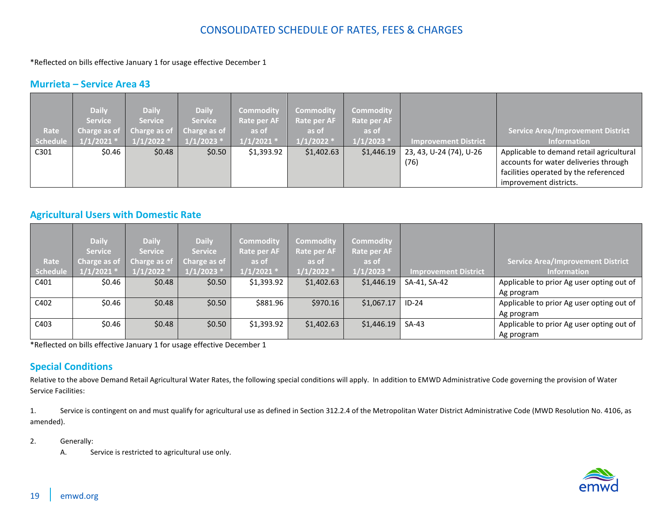\*Reflected on bills effective January 1 for usage effective December 1

#### <span id="page-18-0"></span>**Murrieta – Service Area 43**

|                 | <b>Daily</b>   | <b>Daily</b>                           | <b>Daily</b>   | Commodity    | <b>Commodity</b> | Commodity    |                             |                                          |
|-----------------|----------------|----------------------------------------|----------------|--------------|------------------|--------------|-----------------------------|------------------------------------------|
|                 | <b>Service</b> | <b>Service</b>                         | <b>Service</b> | Rate per AF  | Rate per AF      | Rate per AF  |                             |                                          |
| Rate            |                | Charge as of Charge as of Charge as of |                | as of        | as of            | as of        |                             | <b>Service Area/Improvement District</b> |
| <b>Schedule</b> | $1/1/2021$ *   | $1/1/2022$ *                           | $1/1/2023$ *   | $1/1/2021$ * | $1/1/2022$ *     | $1/1/2023$ * | <b>Improvement District</b> | <b>Information</b>                       |
| C301            | \$0.46         | \$0.48                                 | \$0.50         | \$1,393.92   | \$1,402.63       | \$1,446.19   | 23, 43, U-24 (74), U-26     | Applicable to demand retail agricultural |
|                 |                |                                        |                |              |                  |              | (76)                        | accounts for water deliveries through    |
|                 |                |                                        |                |              |                  |              |                             | facilities operated by the referenced    |
|                 |                |                                        |                |              |                  |              |                             | improvement districts.                   |

#### <span id="page-18-1"></span>**Agricultural Users with Domestic Rate**

|          | <b>Daily</b>   | <b>Daily</b>   | <b>Daily</b>   | <b>Commodity</b> | <b>Commodity</b> | <b>Commodity</b> |                             |                                           |
|----------|----------------|----------------|----------------|------------------|------------------|------------------|-----------------------------|-------------------------------------------|
|          | <b>Service</b> | <b>Service</b> | <b>Service</b> | Rate per AF      | Rate per AF      | Rate per AF      |                             |                                           |
| Rate     | Charge as of   | Charge as of   | Charge as of   | as of            | as of            | as of            |                             | <b>Service Area/Improvement District</b>  |
| Schedule | $1/1/2021$ *   | $1/1/2022$ *   | $1/1/2023$ *   | $1/1/2021$ *     | $1/1/2022$ *     | $1/1/2023$ *     | <b>Improvement District</b> | <b>Information</b>                        |
| C401     | \$0.46         | \$0.48         | \$0.50         | \$1,393.92       | \$1,402.63       | \$1,446.19       | SA-41, SA-42                | Applicable to prior Ag user opting out of |
|          |                |                |                |                  |                  |                  |                             | Ag program                                |
| C402     | \$0.46         | \$0.48         | \$0.50         | \$881.96         | \$970.16         | \$1,067.17       | $ID-24$                     | Applicable to prior Ag user opting out of |
|          |                |                |                |                  |                  |                  |                             | Ag program                                |
| C403     | \$0.46         | \$0.48         | \$0.50         | \$1,393.92       | \$1,402.63       | \$1,446.19       | $SA-43$                     | Applicable to prior Ag user opting out of |
|          |                |                |                |                  |                  |                  |                             | Ag program                                |

\*Reflected on bills effective January 1 for usage effective December 1

### <span id="page-18-2"></span>**Special Conditions**

Relative to the above Demand Retail Agricultural Water Rates, the following special conditions will apply. In addition to EMWD Administrative Code governing the provision of Water Service Facilities:

1. Service is contingent on and must qualify for agricultural use as defined in Section 312.2.4 of the Metropolitan Water District Administrative Code (MWD Resolution No. 4106, as amended).

- 2. Generally:
	- A. Service is restricted to agricultural use only.

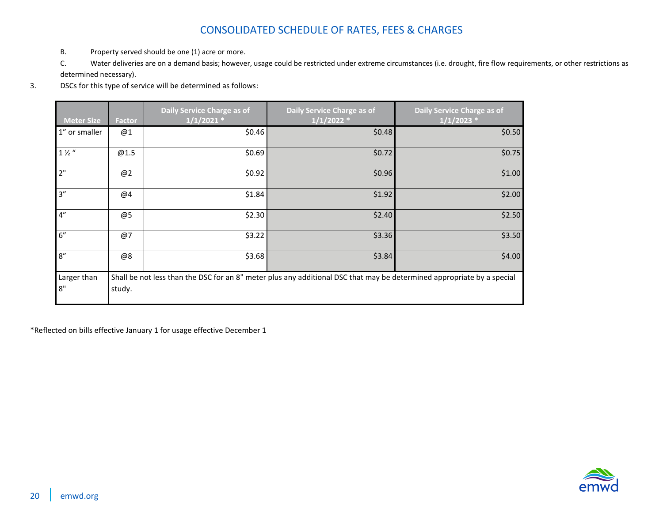- B. Property served should be one (1) acre or more.
- C. Water deliveries are on a demand basis; however, usage could be restricted under extreme circumstances (i.e. drought, fire flow requirements, or other restrictions as determined necessary).
- 3. DSCs for this type of service will be determined as follows:

| <b>Meter Size</b> | <b>Factor</b> | Daily Service Charge as of<br>$1/1/2021$ * | Daily Service Charge as of<br>$1/1/2022$ *                                                                             | Daily Service Charge as of<br>$1/1/2023$ * |
|-------------------|---------------|--------------------------------------------|------------------------------------------------------------------------------------------------------------------------|--------------------------------------------|
| 1" or smaller     | @1            | \$0.46                                     | \$0.48                                                                                                                 | \$0.50                                     |
| $1\frac{1}{2}$ "  | @1.5          | \$0.69                                     | \$0.72                                                                                                                 | \$0.75                                     |
| 2"                | @2            | \$0.92                                     | \$0.96                                                                                                                 | \$1.00                                     |
| 3''               | @4            | \$1.84                                     | \$1.92                                                                                                                 | \$2.00                                     |
| 4"                | @5            | \$2.30                                     | \$2.40                                                                                                                 | \$2.50                                     |
| 6"                | @7            | \$3.22                                     | \$3.36                                                                                                                 | \$3.50                                     |
| 8''               | @8            | \$3.68                                     | \$3.84                                                                                                                 | \$4.00                                     |
| Larger than       |               |                                            | Shall be not less than the DSC for an 8" meter plus any additional DSC that may be determined appropriate by a special |                                            |
| 8"                | study.        |                                            |                                                                                                                        |                                            |

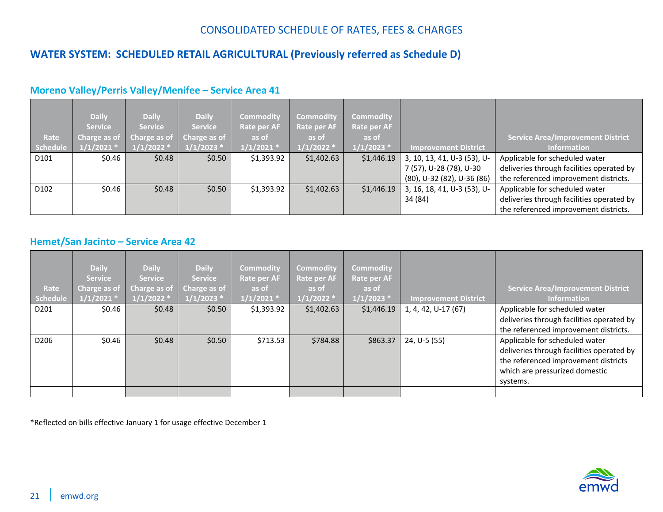## <span id="page-20-0"></span>**WATER SYSTEM: SCHEDULED RETAIL AGRICULTURAL (Previously referred as Schedule D)**

|                  | <b>Daily</b>   | <b>Daily</b>      | <b>Daily</b>   | <b>Commodity</b> | <b>Commodity</b> | <b>Commodity</b>   |                             |                                           |
|------------------|----------------|-------------------|----------------|------------------|------------------|--------------------|-----------------------------|-------------------------------------------|
|                  | <b>Service</b> | <b>Service</b>    | <b>Service</b> | Rate per AF      | Rate per AF      | <b>Rate per AF</b> |                             |                                           |
| Rate             | Charge as of   | Charge as of $\ $ | Charge as of   | as of            | as of            | as of              |                             | <b>Service Area/Improvement District</b>  |
| <b>Schedule</b>  | $1/1/2021$ *   | $1/1/2022$ *      | $1/1/2023$ *   | $1/1/2021$ *     | $1/1/2022$ *     | $1/1/2023$ *       | <b>Improvement District</b> | <b>Information</b>                        |
| D101             | \$0.46         | \$0.48            | \$0.50         | \$1,393.92       | \$1,402.63       | \$1,446.19         | 3, 10, 13, 41, U-3 (53), U- | Applicable for scheduled water            |
|                  |                |                   |                |                  |                  |                    | 7 (57), U-28 (78), U-30     | deliveries through facilities operated by |
|                  |                |                   |                |                  |                  |                    | (80), U-32 (82), U-36 (86)  | the referenced improvement districts.     |
| D <sub>102</sub> | \$0.46         | \$0.48            | \$0.50         | \$1,393.92       | \$1,402.63       | \$1,446.19         | 3, 16, 18, 41, U-3 (53), U- | Applicable for scheduled water            |
|                  |                |                   |                |                  |                  |                    | 34 (84)                     | deliveries through facilities operated by |
|                  |                |                   |                |                  |                  |                    |                             | the referenced improvement districts.     |

#### <span id="page-20-1"></span>**Moreno Valley/Perris Valley/Menifee – Service Area 41**

#### <span id="page-20-2"></span>**Hemet/San Jacinto – Service Area 42**

| <b>Service Area/Improvement District</b><br><b>Information</b>                                                                                        |
|-------------------------------------------------------------------------------------------------------------------------------------------------------|
| Applicable for scheduled water                                                                                                                        |
| deliveries through facilities operated by<br>the referenced improvement districts.                                                                    |
| Applicable for scheduled water<br>deliveries through facilities operated by<br>the referenced improvement districts<br>which are pressurized domestic |
|                                                                                                                                                       |

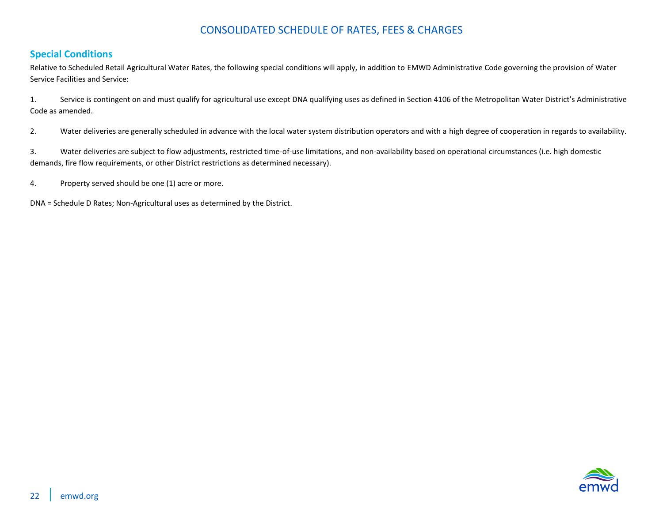#### <span id="page-21-0"></span>**Special Conditions**

Relative to Scheduled Retail Agricultural Water Rates, the following special conditions will apply, in addition to EMWD Administrative Code governing the provision of Water Service Facilities and Service:

1. Service is contingent on and must qualify for agricultural use except DNA qualifying uses as defined in Section 4106 of the Metropolitan Water District's Administrative Code as amended.

2. Water deliveries are generally scheduled in advance with the local water system distribution operators and with a high degree of cooperation in regards to availability.

3. Water deliveries are subject to flow adjustments, restricted time-of-use limitations, and non-availability based on operational circumstances (i.e. high domestic demands, fire flow requirements, or other District restrictions as determined necessary).

4. Property served should be one (1) acre or more.

DNA = Schedule D Rates; Non-Agricultural uses as determined by the District.

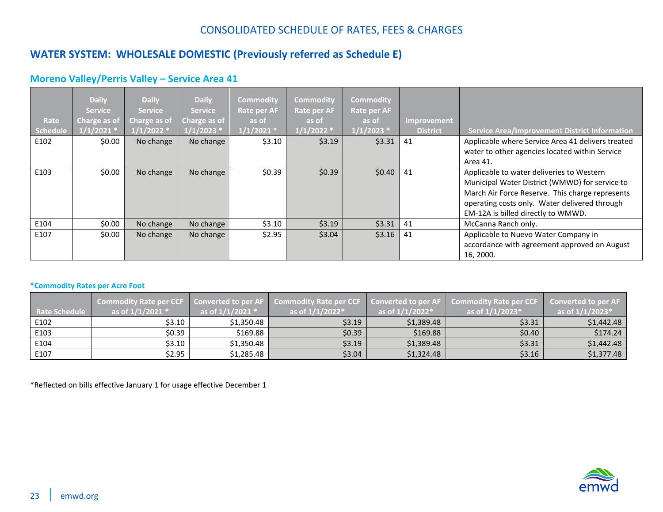## <span id="page-22-0"></span>**WATER SYSTEM: WHOLESALE DOMESTIC (Previously referred as Schedule E)**

### <span id="page-22-1"></span>**Moreno Valley/Perris Valley – Service Area 41**

| Rate<br>Schedule | <b>Daily</b><br><b>Service</b><br>Charge as of<br>$1/1/2021$ * | <b>Daily</b><br><b>Service</b><br>Charge as of<br>$1/1/2022$ * | <b>Daily</b><br><b>Service</b><br>Charge as of<br>$1/1/2023$ * | <b>Commodity</b><br><b>Rate per AF</b><br>as of<br>$1/1/2021$ * | <b>Commodity</b><br><b>Rate per AF</b><br>as of<br>$1/1/2022$ * | <b>Commodity</b><br><b>Rate per AF</b><br>as of<br>$1/1/2023$ * | Improvement<br><b>District</b> | <b>Service Area/Improvement District Information</b>                                                                                                                                                                                  |
|------------------|----------------------------------------------------------------|----------------------------------------------------------------|----------------------------------------------------------------|-----------------------------------------------------------------|-----------------------------------------------------------------|-----------------------------------------------------------------|--------------------------------|---------------------------------------------------------------------------------------------------------------------------------------------------------------------------------------------------------------------------------------|
| E102             | \$0.00                                                         | No change                                                      | No change                                                      | \$3.10                                                          | \$3.19                                                          | \$3.31                                                          | 41                             | Applicable where Service Area 41 delivers treated<br>water to other agencies located within Service                                                                                                                                   |
|                  |                                                                |                                                                |                                                                |                                                                 |                                                                 |                                                                 |                                | Area 41.                                                                                                                                                                                                                              |
| E103             | \$0.00                                                         | No change                                                      | No change                                                      | \$0.39                                                          | \$0.39                                                          | \$0.40                                                          | 41                             | Applicable to water deliveries to Western<br>Municipal Water District (WMWD) for service to<br>March Air Force Reserve. This charge represents<br>operating costs only. Water delivered through<br>EM-12A is billed directly to WMWD. |
| E104             | \$0.00                                                         | No change                                                      | No change                                                      | \$3.10                                                          | \$3.19                                                          | \$3.31                                                          | 41                             | McCanna Ranch only.                                                                                                                                                                                                                   |
| E107             | \$0.00                                                         | No change                                                      | No change                                                      | \$2.95                                                          | \$3.04                                                          | \$3.16                                                          | 41                             | Applicable to Nuevo Water Company in<br>accordance with agreement approved on August<br>16, 2000.                                                                                                                                     |

#### <span id="page-22-2"></span>**\*Commodity Rates per Acre Foot**

| <b>Rate Schedule</b> | as of $1/1/2021$ * | as of $1/1/2021$ * | Commodity Rate per CCF   Converted to per AF   Commodity Rate per CCF   Converted to per AF   Commodity Rate per CCF<br>as of $1/1/2022^*$ | as of $1/1/2022*$ | as of $1/1/2023*$ | <b>Converted to per AF</b><br>as of $1/1/2023*$ |
|----------------------|--------------------|--------------------|--------------------------------------------------------------------------------------------------------------------------------------------|-------------------|-------------------|-------------------------------------------------|
| E102                 | \$3.10             | \$1,350.48         | \$3.19                                                                                                                                     | \$1,389.48        | \$3.31            | \$1,442.48                                      |
| E103                 | \$0.39             | \$169.88           | \$0.39                                                                                                                                     | \$169.88          | \$0.40            | \$174.24                                        |
| E104                 | \$3.10             | \$1,350.48         | \$3.19                                                                                                                                     | \$1,389.48        | \$3.31            | \$1,442.48                                      |
| E107                 | \$2.95             | \$1,285.48         | \$3.04\$                                                                                                                                   | \$1,324.48        | \$3.16            | \$1,377.48                                      |

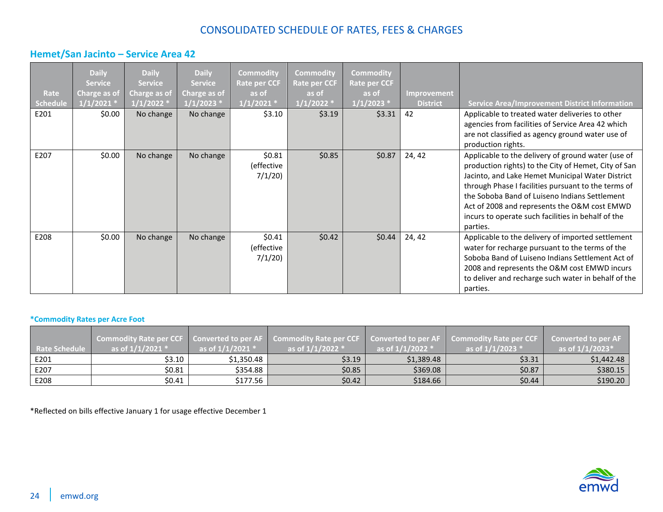### <span id="page-23-0"></span>**Hemet/San Jacinto – Service Area 42**

| Rate<br><b>Schedule</b><br>E201 | <b>Daily</b><br><b>Service</b><br>Charge as of<br>$1/1/2021$ <sup>*</sup><br>\$0.00 | <b>Daily</b><br><b>Service</b><br>Charge as of<br>$1/1/2022$ *<br>No change | <b>Daily</b><br><b>Service</b><br>Charge as of<br>$1/1/2023$ *<br>No change | <b>Commodity</b><br><b>Rate per CCF</b><br>as of<br>$1/1/2021$ *<br>\$3.10 | <b>Commodity</b><br><b>Rate per CCF</b><br>as of<br>$1/1/2022$ *<br>\$3.19 | <b>Commodity</b><br><b>Rate per CCF</b><br>as of<br>$1/1/2023$ *<br>\$3.31 | Improvement<br><b>District</b><br>42 | <b>Service Area/Improvement District Information</b>                                                                                                                                                                                                                                                                                                                                     |
|---------------------------------|-------------------------------------------------------------------------------------|-----------------------------------------------------------------------------|-----------------------------------------------------------------------------|----------------------------------------------------------------------------|----------------------------------------------------------------------------|----------------------------------------------------------------------------|--------------------------------------|------------------------------------------------------------------------------------------------------------------------------------------------------------------------------------------------------------------------------------------------------------------------------------------------------------------------------------------------------------------------------------------|
|                                 |                                                                                     |                                                                             |                                                                             |                                                                            |                                                                            |                                                                            |                                      | Applicable to treated water deliveries to other<br>agencies from facilities of Service Area 42 which<br>are not classified as agency ground water use of<br>production rights.                                                                                                                                                                                                           |
| E207                            | \$0.00                                                                              | No change                                                                   | No change                                                                   | \$0.81<br>(effective<br>7/1/20                                             | \$0.85                                                                     | \$0.87                                                                     | 24, 42                               | Applicable to the delivery of ground water (use of<br>production rights) to the City of Hemet, City of San<br>Jacinto, and Lake Hemet Municipal Water District<br>through Phase I facilities pursuant to the terms of<br>the Soboba Band of Luiseno Indians Settlement<br>Act of 2008 and represents the O&M cost EMWD<br>incurs to operate such facilities in behalf of the<br>parties. |
| E208                            | \$0.00                                                                              | No change                                                                   | No change                                                                   | \$0.41<br>(effective<br>7/1/20                                             | \$0.42                                                                     | \$0.44                                                                     | 24, 42                               | Applicable to the delivery of imported settlement<br>water for recharge pursuant to the terms of the<br>Soboba Band of Luiseno Indians Settlement Act of<br>2008 and represents the O&M cost EMWD incurs<br>to deliver and recharge such water in behalf of the<br>parties.                                                                                                              |

#### <span id="page-23-1"></span>**\*Commodity Rates per Acre Foot**

| <b>Rate Schedule</b> | as of $1/1/2021$ * | as of $1/1/2021$ $*$ | Commodity Rate per CCF   Converted to per AF   Commodity Rate per CCF   Converted to per AF   Commodity Rate per CCF<br>as of $1/1/2022$ * | as of $1/1/2022$ * | as of $1/1/2023$ $*$ | <b>Converted to per AF</b><br>as of $1/1/2023*$ |
|----------------------|--------------------|----------------------|--------------------------------------------------------------------------------------------------------------------------------------------|--------------------|----------------------|-------------------------------------------------|
| E201                 | \$3.10             | \$1,350.48           | \$3.19                                                                                                                                     | \$1,389.48         | \$3.31               | \$1,442.48                                      |
| E207                 | \$0.81             | \$354.88             | \$0.85                                                                                                                                     | \$369.08           | \$0.87               | \$380.15                                        |
| E208                 | \$0.41             | S177.56 I            | \$0.42                                                                                                                                     | \$184.66           | \$0.44               | \$190.20                                        |

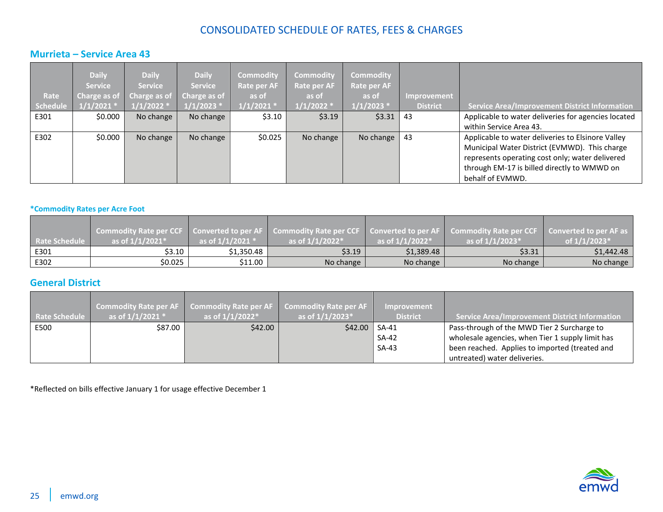### <span id="page-24-0"></span>**Murrieta – Service Area 43**

| Rate     | <b>Daily</b><br><b>Service</b> | <b>Daily</b><br><b>Service</b> | <b>Daily</b><br><b>Service</b><br>Charge as of Charge as of Charge as of | <b>Commodity</b><br><b>Rate per AF</b><br>as of | <b>Commodity</b><br><b>Rate per AF</b><br>as of | <b>Commodity</b><br>Rate per AF<br>as of | Improvement     |                                                      |
|----------|--------------------------------|--------------------------------|--------------------------------------------------------------------------|-------------------------------------------------|-------------------------------------------------|------------------------------------------|-----------------|------------------------------------------------------|
| Schedule | $1/1/2021$ *                   | $1/1/2022$ *                   | $1/1/2023$ *                                                             | $1/1/2021$ *                                    | $1/1/2022$ $^{*}$                               | $1/1/2023$ *                             | <b>District</b> | <b>Service Area/Improvement District Information</b> |
| E301     | \$0.000                        | No change                      | No change                                                                | \$3.10                                          | \$3.19                                          | \$3.31                                   | 43              | Applicable to water deliveries for agencies located  |
|          |                                |                                |                                                                          |                                                 |                                                 |                                          |                 | within Service Area 43.                              |
| E302     | \$0.000                        | No change                      | No change                                                                | \$0.025                                         | No change                                       | No change                                | 43              | Applicable to water deliveries to Elsinore Valley    |
|          |                                |                                |                                                                          |                                                 |                                                 |                                          |                 | Municipal Water District (EVMWD). This charge        |
|          |                                |                                |                                                                          |                                                 |                                                 |                                          |                 | represents operating cost only; water delivered      |
|          |                                |                                |                                                                          |                                                 |                                                 |                                          |                 | through EM-17 is billed directly to WMWD on          |
|          |                                |                                |                                                                          |                                                 |                                                 |                                          |                 | behalf of EVMWD.                                     |

#### <span id="page-24-1"></span>**\*Commodity Rates per Acre Foot**

| Rate Schedule | as of $1/1/2021$ <sup>*</sup> | as of $1/1/2021$ $*$ | Commodity Rate per CCF   Converted to per AF   Commodity Rate per CCF   Converted to per AF   Commodity Rate per CCF  <br>as of $1/1/2022^*$ | as of $1/1/2022$ <sup>*</sup> | as of $1/1/2023*$ | Converted to per AF as<br>of $1/1/2023*$ |
|---------------|-------------------------------|----------------------|----------------------------------------------------------------------------------------------------------------------------------------------|-------------------------------|-------------------|------------------------------------------|
| E301          | \$3.10                        | \$1,350.48           | \$3.19                                                                                                                                       | \$1,389.48                    | \$3.31            | \$1,442.48                               |
| E302          | \$0.025                       | \$11.00              | No change                                                                                                                                    | No change                     | No change         | No change                                |

### <span id="page-24-2"></span>**General District**

| <b>Rate Schedule</b> | <b>Commodity Rate per AF</b><br>as of $1/1/2021$ * | <b>Commodity Rate per AF</b><br>as of $1/1/2022$ <sup>*</sup> | <b>Commodity Rate per AF</b><br>as of $1/1/2023*$ | <b>Improvement</b><br><b>District</b> | Service Area/Improvement District Information    |
|----------------------|----------------------------------------------------|---------------------------------------------------------------|---------------------------------------------------|---------------------------------------|--------------------------------------------------|
| E500                 | \$87.00                                            | \$42.00                                                       | \$42.00                                           | SA-41                                 | Pass-through of the MWD Tier 2 Surcharge to      |
|                      |                                                    |                                                               |                                                   | SA-42                                 | wholesale agencies, when Tier 1 supply limit has |
|                      |                                                    |                                                               |                                                   | $SA-43$                               | been reached. Applies to imported (treated and   |
|                      |                                                    |                                                               |                                                   |                                       | untreated) water deliveries.                     |

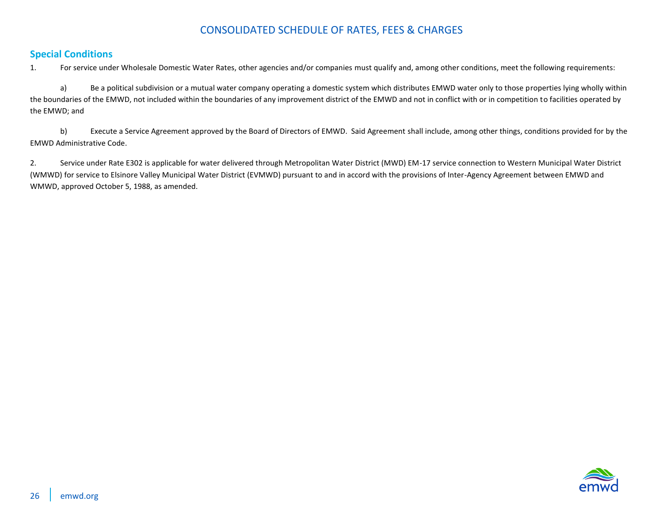#### <span id="page-25-0"></span>**Special Conditions**

1. For service under Wholesale Domestic Water Rates, other agencies and/or companies must qualify and, among other conditions, meet the following requirements:

a) Be a political subdivision or a mutual water company operating a domestic system which distributes EMWD water only to those properties lying wholly within the boundaries of the EMWD, not included within the boundaries of any improvement district of the EMWD and not in conflict with or in competition to facilities operated by the EMWD; and

b) Execute a Service Agreement approved by the Board of Directors of EMWD. Said Agreement shall include, among other things, conditions provided for by the EMWD Administrative Code.

2. Service under Rate E302 is applicable for water delivered through Metropolitan Water District (MWD) EM-17 service connection to Western Municipal Water District (WMWD) for service to Elsinore Valley Municipal Water District (EVMWD) pursuant to and in accord with the provisions of Inter-Agency Agreement between EMWD and WMWD, approved October 5, 1988, as amended.

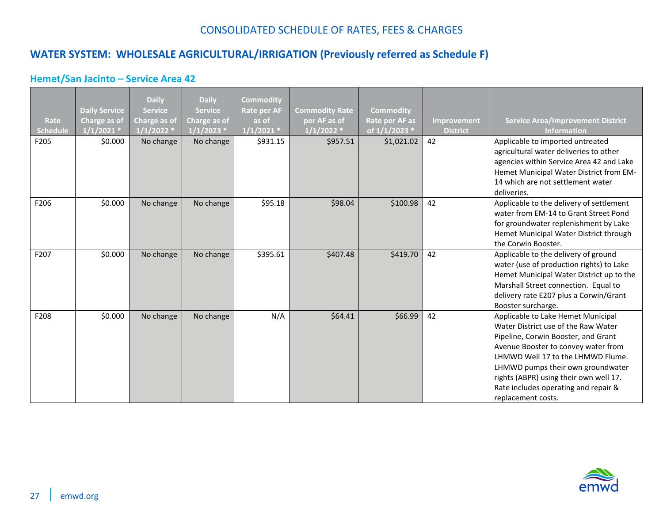## <span id="page-26-0"></span>**WATER SYSTEM: WHOLESALE AGRICULTURAL/IRRIGATION (Previously referred as Schedule F)**

### <span id="page-26-1"></span>**Hemet/San Jacinto – Service Area 42**

| Rate<br>Schedule | <b>Daily Service</b><br>Charge as of<br>1/1/2021 | <b>Daily</b><br><b>Service</b><br>Charge as of<br>$1/1/2022$ * | <b>Daily</b><br><b>Service</b><br>Charge as of<br>1/1/2023 | Commodity<br><b>Rate per AF</b><br>as of<br>$1/1/2021$ * | <b>Commodity Rate</b><br>per AF as of<br>$1/1/2022$ * | <b>Commodity</b><br>Rate per AF as<br>of 1/1/2023 * | Improvement<br><b>District</b> | <b>Service Area/Improvement District</b><br><b>Information</b>                                                                                                                                                                                                                                                                            |
|------------------|--------------------------------------------------|----------------------------------------------------------------|------------------------------------------------------------|----------------------------------------------------------|-------------------------------------------------------|-----------------------------------------------------|--------------------------------|-------------------------------------------------------------------------------------------------------------------------------------------------------------------------------------------------------------------------------------------------------------------------------------------------------------------------------------------|
| F205             | \$0.000                                          | No change                                                      | No change                                                  | \$931.15                                                 | \$957.51                                              | \$1,021.02                                          | 42                             | Applicable to imported untreated<br>agricultural water deliveries to other<br>agencies within Service Area 42 and Lake<br>Hemet Municipal Water District from EM-<br>14 which are not settlement water<br>deliveries.                                                                                                                     |
| F206             | \$0.000                                          | No change                                                      | No change                                                  | \$95.18                                                  | \$98.04                                               | \$100.98                                            | 42                             | Applicable to the delivery of settlement<br>water from EM-14 to Grant Street Pond<br>for groundwater replenishment by Lake<br>Hemet Municipal Water District through<br>the Corwin Booster.                                                                                                                                               |
| F207             | \$0.000                                          | No change                                                      | No change                                                  | \$395.61                                                 | \$407.48                                              | \$419.70                                            | 42                             | Applicable to the delivery of ground<br>water (use of production rights) to Lake<br>Hemet Municipal Water District up to the<br>Marshall Street connection. Equal to<br>delivery rate E207 plus a Corwin/Grant<br>Booster surcharge.                                                                                                      |
| F208             | \$0.000                                          | No change                                                      | No change                                                  | N/A                                                      | \$64.41                                               | \$66.99                                             | 42                             | Applicable to Lake Hemet Municipal<br>Water District use of the Raw Water<br>Pipeline, Corwin Booster, and Grant<br>Avenue Booster to convey water from<br>LHMWD Well 17 to the LHMWD Flume.<br>LHMWD pumps their own groundwater<br>rights (ABPR) using their own well 17.<br>Rate includes operating and repair &<br>replacement costs. |

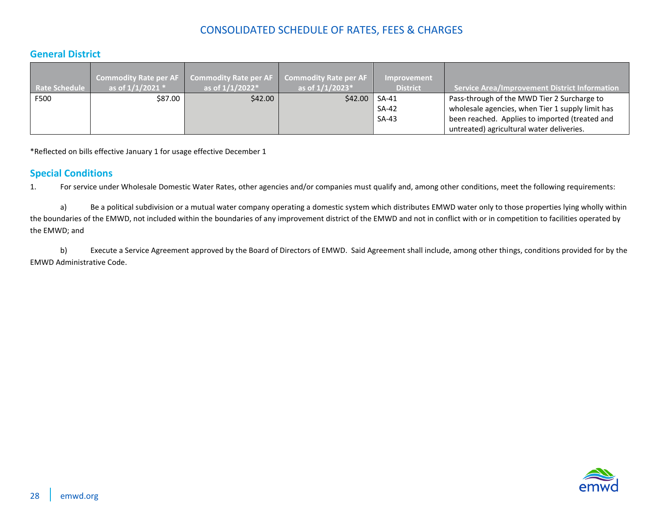### <span id="page-27-0"></span>**General District**

| <b>Rate Schedule</b> | as of $1/1/2021$ * | Commodity Rate per AF   Commodity Rate per AF<br>as of $1/1/2022*$ | Commodity Rate per AF<br>as of $1/1/2023*$ | <b>Improvement</b><br><b>District</b> | <b>Service Area/Improvement District Information</b> |
|----------------------|--------------------|--------------------------------------------------------------------|--------------------------------------------|---------------------------------------|------------------------------------------------------|
| F500                 | \$87.00            | \$42.00                                                            | \$42.00                                    | SA-41                                 | Pass-through of the MWD Tier 2 Surcharge to          |
|                      |                    |                                                                    |                                            | SA-42                                 | wholesale agencies, when Tier 1 supply limit has     |
|                      |                    |                                                                    |                                            | $SA-43$                               | been reached. Applies to imported (treated and       |
|                      |                    |                                                                    |                                            |                                       | untreated) agricultural water deliveries.            |

\*Reflected on bills effective January 1 for usage effective December 1

#### <span id="page-27-1"></span>**Special Conditions**

1. For service under Wholesale Domestic Water Rates, other agencies and/or companies must qualify and, among other conditions, meet the following requirements:

a) Be a political subdivision or a mutual water company operating a domestic system which distributes EMWD water only to those properties lying wholly within the boundaries of the EMWD, not included within the boundaries of any improvement district of the EMWD and not in conflict with or in competition to facilities operated by the EMWD; and

b) Execute a Service Agreement approved by the Board of Directors of EMWD. Said Agreement shall include, among other things, conditions provided for by the EMWD Administrative Code.

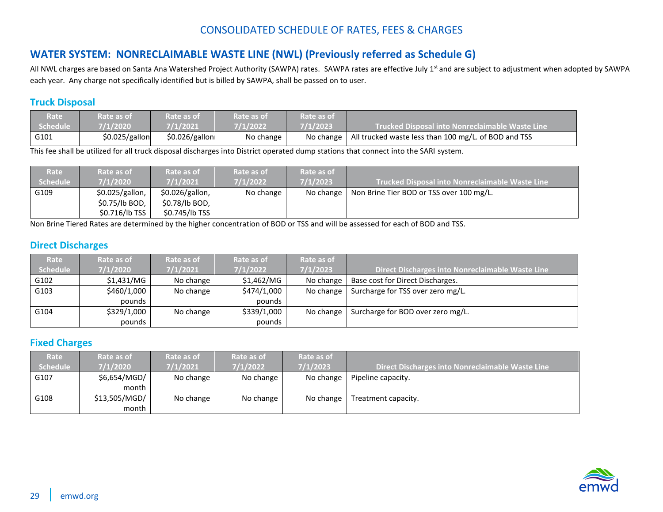## <span id="page-28-0"></span>**WATER SYSTEM: NONRECLAIMABLE WASTE LINE (NWL) (Previously referred as Schedule G)**

All NWL charges are based on Santa Ana Watershed Project Authority (SAWPA) rates. SAWPA rates are effective July 1<sup>st</sup> and are subject to adjustment when adopted by SAWPA each year. Any charge not specifically identified but is billed by SAWPA, shall be passed on to user.

#### <span id="page-28-1"></span>**Truck Disposal**

| Rate            | Rate as of     | Rate as of     | Rate as of | Rate as of | $\blacksquare$ Trucked Disposal into Nonreclaimable Waste Line $\blacksquare$ |
|-----------------|----------------|----------------|------------|------------|-------------------------------------------------------------------------------|
| <b>Schedule</b> | 7/1/2020       | 7/1/2021       | 7/1/2022   | 7/1/2023   |                                                                               |
| G101            | \$0.025/gallon | \$0.026/gallon | No change  | No change  | All trucked waste less than 100 mg/L. of BOD and TSS                          |

This fee shall be utilized for all truck disposal discharges into District operated dump stations that connect into the SARI system.

| Rate     | Rate as of      | Rate as of        | Rate as of | Rate as of |                                                        |
|----------|-----------------|-------------------|------------|------------|--------------------------------------------------------|
| Schedule | 7/1/2020        | 7/1/2021          | 7/1/2022   | 7/1/2023   | <b>Trucked Disposal into Nonreclaimable Waste Line</b> |
| G109     | \$0.025/gallon, | $$0.026/gallon$ , | No change  | No change  | Non Brine Tier BOD or TSS over 100 mg/L.               |
|          | $$0.75/lb$ BOD, | \$0.78/lb BOD,    |            |            |                                                        |
|          | \$0.716/lb TSS  | \$0.745/lb TSS    |            |            |                                                        |

Non Brine Tiered Rates are determined by the higher concentration of BOD or TSS and will be assessed for each of BOD and TSS.

### <span id="page-28-2"></span>**Direct Discharges**

| Rate     | Rate as of  | Rate as of | Rate as of  | Rate as of |                                                  |
|----------|-------------|------------|-------------|------------|--------------------------------------------------|
| Schedule | 7/1/2020    | 7/1/2021   | 7/1/2022    | 7/1/2023   | Direct Discharges into Nonreclaimable Waste Line |
| G102     | \$1.431/MG  | No change  | \$1,462/MG  | No change  | Base cost for Direct Discharges.                 |
| G103     | \$460/1,000 | No change  | \$474/1,000 | No change  | Surcharge for TSS over zero mg/L.                |
|          | pounds      |            | pounds      |            |                                                  |
| G104     | \$329/1,000 | No change  | \$339/1,000 | No change  | Surcharge for BOD over zero mg/L.                |
|          | pounds      |            | pounds      |            |                                                  |

#### <span id="page-28-3"></span>**Fixed Charges**

| Rate     | Rate as of    | Rate as of | Rate as of        | Rate as of |                                                  |
|----------|---------------|------------|-------------------|------------|--------------------------------------------------|
| Schedule | 7/1/2020      | 7/1/2021   | $\sqrt{7/1/2022}$ | 7/1/2023   | Direct Discharges into Nonreclaimable Waste Line |
| G107     | \$6,654/MGD/  | No change  | No change         | No change  | Pipeline capacity.                               |
|          | month         |            |                   |            |                                                  |
| G108     | \$13,505/MGD/ | No change  | No change         | No change  | Treatment capacity.                              |
|          | month         |            |                   |            |                                                  |

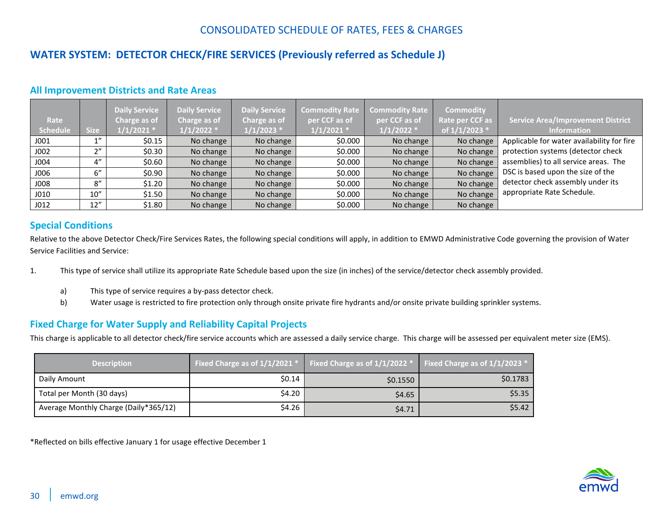## <span id="page-29-0"></span>**WATER SYSTEM: DETECTOR CHECK/FIRE SERVICES (Previously referred as Schedule J)**

#### <span id="page-29-1"></span>**All Improvement Districts and Rate Areas**

| Rate             |                   | <b>Daily Service</b><br>Charge as of | <b>Daily Service</b><br>Charge as of<br>$1/1/2022$ * | <b>Daily Service</b><br>Charge as of | <b>Commodity Rate</b><br>per CCF as of | <b>Commodity Rate</b><br>per CCF as of | <b>Commodity</b><br>Rate per CCF as | Service Area/Improvement District                                |
|------------------|-------------------|--------------------------------------|------------------------------------------------------|--------------------------------------|----------------------------------------|----------------------------------------|-------------------------------------|------------------------------------------------------------------|
| Schedule<br>J001 | <b>Size</b><br>1" | $1/1/2021$ *<br>\$0.15               | No change                                            | $1/1/2023$ *<br>No change            | $1/1/2021$ *<br>\$0.000                | $1/1/2022$ *<br>No change              | of 1/1/2023 *<br>No change          | <b>Information</b><br>Applicable for water availability for fire |
|                  |                   |                                      |                                                      |                                      |                                        |                                        |                                     |                                                                  |
| J002             | $\gamma$          | \$0.30                               | No change                                            | No change                            | \$0.000                                | No change                              | No change                           | protection systems (detector check                               |
| J004             | 4"                | \$0.60                               | No change                                            | No change                            | \$0.000                                | No change                              | No change                           | assemblies) to all service areas. The                            |
| J006             | 6''               | \$0.90                               | No change                                            | No change                            | \$0.000                                | No change                              | No change                           | DSC is based upon the size of the                                |
| J008             | 8''               | \$1.20                               | No change                                            | No change                            | \$0.000                                | No change                              | No change                           | detector check assembly under its                                |
| J010             | 10''              | \$1.50                               | No change                                            | No change                            | \$0.000                                | No change                              | No change                           | appropriate Rate Schedule.                                       |
| J012             | 12''              | \$1.80                               | No change                                            | No change                            | \$0.000                                | No change                              | No change                           |                                                                  |

#### <span id="page-29-2"></span>**Special Conditions**

Relative to the above Detector Check/Fire Services Rates, the following special conditions will apply, in addition to EMWD Administrative Code governing the provision of Water Service Facilities and Service:

- 1. This type of service shall utilize its appropriate Rate Schedule based upon the size (in inches) of the service/detector check assembly provided.
	- a) This type of service requires a by-pass detector check.
	- b) Water usage is restricted to fire protection only through onsite private fire hydrants and/or onsite private building sprinkler systems.

### <span id="page-29-3"></span>**Fixed Charge for Water Supply and Reliability Capital Projects**

This charge is applicable to all detector check/fire service accounts which are assessed a daily service charge. This charge will be assessed per equivalent meter size (EMS).

| <b>Description</b>                    | Fixed Charge as of $1/1/2021$ * | <b>Fixed Charge as of <math>1/1/2022</math> *</b> Fixed Charge as of $1/1/2023$ * |          |
|---------------------------------------|---------------------------------|-----------------------------------------------------------------------------------|----------|
| Daily Amount                          | \$0.14                          | \$0.1550                                                                          | \$0.1783 |
| Total per Month (30 days)             | \$4.20                          | \$4.65                                                                            | \$5.35   |
| Average Monthly Charge (Daily*365/12) | \$4.26                          | \$4.71                                                                            | \$5.42   |

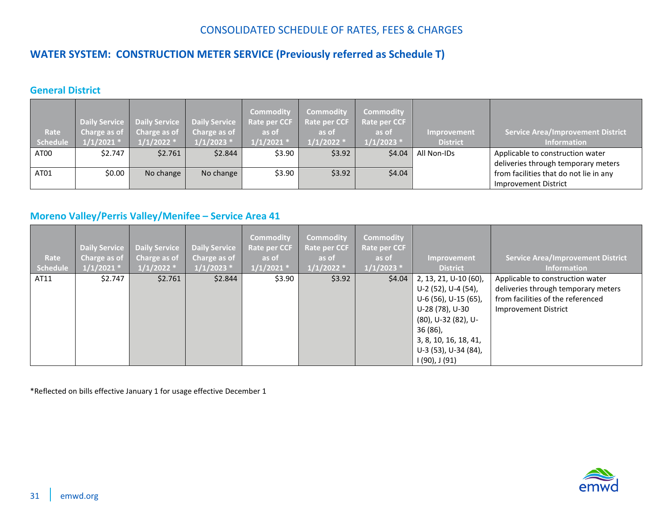## <span id="page-30-0"></span>**WATER SYSTEM: CONSTRUCTION METER SERVICE (Previously referred as Schedule T)**

### <span id="page-30-1"></span>**General District**

|                 | <b>Daily Service</b> |              | Daily Service   Daily Service | <b>Commodity</b><br><b>Rate per CCF</b> | <b>Commodity</b><br><b>Rate per CCF</b> | <b>Commodity</b><br>Rate per CCF |                    |                                          |
|-----------------|----------------------|--------------|-------------------------------|-----------------------------------------|-----------------------------------------|----------------------------------|--------------------|------------------------------------------|
| Rate            | Charge as of         | Charge as of | Charge as of                  | as of                                   | as of                                   | as of                            | <b>Improvement</b> | <b>Service Area/Improvement District</b> |
| <b>Schedule</b> | $1/1/2021$ *         | $1/1/2022$ * | $1/1/2023$ *                  | $1/1/2021$ *                            | $1/1/2022$ *                            | $1/1/2023$ *                     | <b>District</b>    | <b>Information</b>                       |
| AT00            | \$2.747              | \$2.761      | \$2.844                       | \$3.90                                  | \$3.92                                  | \$4.04                           | All Non-IDs        | Applicable to construction water         |
|                 |                      |              |                               |                                         |                                         |                                  |                    | deliveries through temporary meters      |
| AT01            | \$0.00               | No change    | No change                     | \$3.90                                  | \$3.92                                  | \$4.04                           |                    | from facilities that do not lie in any   |
|                 |                      |              |                               |                                         |                                         |                                  |                    | <b>Improvement District</b>              |

### <span id="page-30-2"></span>**Moreno Valley/Perris Valley/Menifee – Service Area 41**

| Rate<br>Schedule | Daily Service<br>Charge as of<br>$1/1/2021$ * | <b>Daily Service</b><br>Charge as of<br>$1/1/2022$ * | <b>Daily Service</b><br>Charge as of<br>$1/1/2023$ * | <b>Commodity</b><br><b>Rate per CCF</b><br>as of<br>$1/1/2021$ * | <b>Commodity</b><br><b>Rate per CCF</b><br>as of<br>$1/1/2022$ * | <b>Commodity</b><br><b>Rate per CCF</b><br>as of<br>$1/1/2023$ * | Improvement<br><b>District</b>                                                                                                                                                                  | <b>Service Area/Improvement District</b><br><b>Information</b>                                                                       |
|------------------|-----------------------------------------------|------------------------------------------------------|------------------------------------------------------|------------------------------------------------------------------|------------------------------------------------------------------|------------------------------------------------------------------|-------------------------------------------------------------------------------------------------------------------------------------------------------------------------------------------------|--------------------------------------------------------------------------------------------------------------------------------------|
| AT11             | \$2.747                                       | \$2.761                                              | \$2.844                                              | \$3.90                                                           | \$3.92                                                           | \$4.04\$                                                         | 2, 13, 21, U-10 (60),<br>U-2 (52), U-4 (54),<br>U-6 (56), U-15 (65),<br>U-28 (78), U-30<br>(80), U-32 (82), U-<br>$36(86)$ ,<br>3, 8, 10, 16, 18, 41,<br>U-3 (53), U-34 (84),<br>I (90), J (91) | Applicable to construction water<br>deliveries through temporary meters<br>from facilities of the referenced<br>Improvement District |

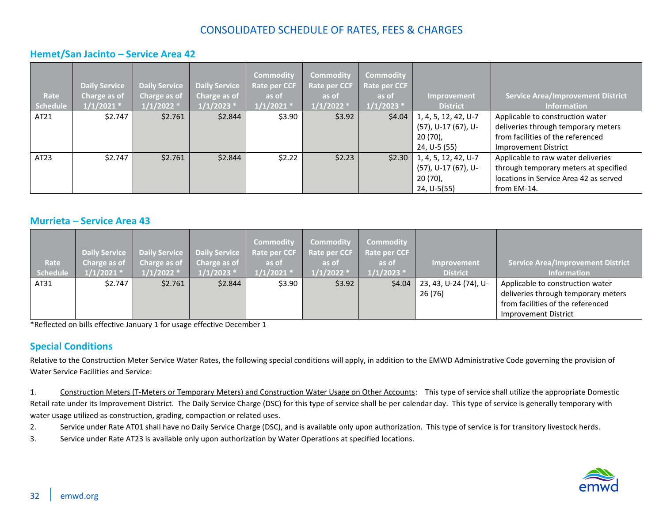#### <span id="page-31-0"></span>**Hemet/San Jacinto – Service Area 42**

| Rate<br>Schedule | <b>Daily Service</b><br>Charge as of<br>$1/1/2021$ * | <b>Daily Service</b><br>Charge as of<br>$1/1/2022$ * | <b>Daily Service</b><br><b>Charge as of</b><br>$1/1/2023$ * | <b>Commodity</b><br><b>Rate per CCF</b><br>as of<br>$1/1/2021$ * | <b>Commodity</b><br><b>Rate per CCF</b><br>as of<br>$1/1/2022$ * | <b>Commodity</b><br>Rate per CCF<br>as of<br>$1/1/2023$ * | Improvement<br><b>District</b>                          | <b>Service Area/Improvement District</b><br>Information                                                      |
|------------------|------------------------------------------------------|------------------------------------------------------|-------------------------------------------------------------|------------------------------------------------------------------|------------------------------------------------------------------|-----------------------------------------------------------|---------------------------------------------------------|--------------------------------------------------------------------------------------------------------------|
| AT21             | \$2.747                                              | \$2.761                                              | \$2.844                                                     | \$3.90                                                           | \$3.92                                                           | \$4.04\$                                                  | 1, 4, 5, 12, 42, U-7<br>(57), U-17 (67), U-<br>20 (70), | Applicable to construction water<br>deliveries through temporary meters<br>from facilities of the referenced |
|                  |                                                      |                                                      |                                                             |                                                                  |                                                                  |                                                           | 24, U-5 (55)                                            | <b>Improvement District</b>                                                                                  |
| AT23             | \$2.747                                              | \$2.761                                              | \$2.844                                                     | \$2.22                                                           | \$2.23                                                           | \$2.30                                                    | 1, 4, 5, 12, 42, U-7<br>(57), U-17 (67), U-             | Applicable to raw water deliveries<br>through temporary meters at specified                                  |
|                  |                                                      |                                                      |                                                             |                                                                  |                                                                  |                                                           | $20(70)$ ,<br>24, U-5(55)                               | locations in Service Area 42 as served<br>from EM-14.                                                        |

#### <span id="page-31-1"></span>**Murrieta – Service Area 43**

| Rate     | Charge as of | Daily Service Daily Service Daily Service<br>Charge as of Charge as of |              | <b>Commodity</b><br>Rate per CCF<br>as of | <b>Commodity</b><br>Rate per CCF<br>as of | Commodity<br>Rate per CCF<br>as of | Improvement           | Service Area/Improvement District   |
|----------|--------------|------------------------------------------------------------------------|--------------|-------------------------------------------|-------------------------------------------|------------------------------------|-----------------------|-------------------------------------|
| Schedule | $1/1/2021$ * | $1/1/2022$ *                                                           | $1/1/2023$ * | $1/1/2021$ *                              | $1/1/2022$ *                              | $1/1/2023$ *                       | <b>District</b>       | <b>Information</b>                  |
| AT31     | \$2.747      | \$2.761                                                                | \$2.844      | \$3.90                                    | \$3.92                                    | \$4.04                             | 23, 43, U-24 (74), U- | Applicable to construction water    |
|          |              |                                                                        |              |                                           |                                           |                                    | 26 (76)               | deliveries through temporary meters |
|          |              |                                                                        |              |                                           |                                           |                                    |                       | from facilities of the referenced   |
|          |              |                                                                        |              |                                           |                                           |                                    |                       | <b>Improvement District</b>         |

\*Reflected on bills effective January 1 for usage effective December 1

### <span id="page-31-2"></span>**Special Conditions**

Relative to the Construction Meter Service Water Rates, the following special conditions will apply, in addition to the EMWD Administrative Code governing the provision of Water Service Facilities and Service:

1. Construction Meters (T-Meters or Temporary Meters) and Construction Water Usage on Other Accounts: This type of service shall utilize the appropriate Domestic Retail rate under its Improvement District. The Daily Service Charge (DSC) for this type of service shall be per calendar day. This type of service is generally temporary with water usage utilized as construction, grading, compaction or related uses.

- 2. Service under Rate AT01 shall have no Daily Service Charge (DSC), and is available only upon authorization. This type of service is for transitory livestock herds.
- 3. Service under Rate AT23 is available only upon authorization by Water Operations at specified locations.

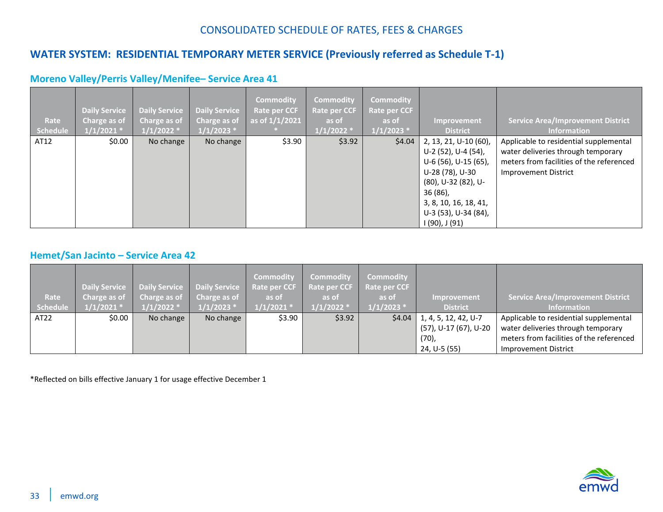## <span id="page-32-0"></span>**WATER SYSTEM: RESIDENTIAL TEMPORARY METER SERVICE (Previously referred as Schedule T-1)**

<span id="page-32-1"></span>

| Rate<br>Schedule | <b>Daily Service</b><br>Charge as of<br>$1/1/2021$ * | <b>Daily Service</b><br>Charge as of<br>$1/1/2022$ * | <b>Daily Service</b><br>Charge as of<br>$1/1/2023$ * | <b>Commodity</b><br><b>Rate per CCF</b><br>as of $1/1/2021$ | <b>Commodity</b><br><b>Rate per CCF</b><br>as of<br>$1/1/2022$ * | <b>Commodity</b><br>Rate per CCF<br>as of<br>$1/1/2023$ * | Improvement<br><b>District</b>                                                    | <b>Service Area/Improvement District</b><br><b>Information</b>                                                           |
|------------------|------------------------------------------------------|------------------------------------------------------|------------------------------------------------------|-------------------------------------------------------------|------------------------------------------------------------------|-----------------------------------------------------------|-----------------------------------------------------------------------------------|--------------------------------------------------------------------------------------------------------------------------|
| AT12             | \$0.00                                               | No change                                            | No change                                            | \$3.90                                                      | \$3.92                                                           | \$4.04\$                                                  | 2, 13, 21, U-10 (60),<br>U-2 (52), U-4 (54),<br>U-6 (56), U-15 (65),              | Applicable to residential supplemental<br>water deliveries through temporary<br>meters from facilities of the referenced |
|                  |                                                      |                                                      |                                                      |                                                             |                                                                  |                                                           | U-28 (78), U-30<br>(80), U-32 (82), U-                                            | Improvement District                                                                                                     |
|                  |                                                      |                                                      |                                                      |                                                             |                                                                  |                                                           | $36(86)$ ,<br>3, 8, 10, 16, 18, 41,<br>U-3 (53), U-34 (84),<br>$1(90)$ , J $(91)$ |                                                                                                                          |

### <span id="page-32-2"></span>**Hemet/San Jacinto – Service Area 42**

| Rate             | Daily Service<br>Charge as of | Charge as of | Daily Service Daily Service<br>Charge as of | <b>Commodity</b><br><b>Rate per CCF</b><br>as of | <b>Commodity</b><br><b>Rate per CCF</b><br>as of | Commodity<br>Rate per CCF<br>as of | Improvement           | <b>Service Area/Improvement District</b> |
|------------------|-------------------------------|--------------|---------------------------------------------|--------------------------------------------------|--------------------------------------------------|------------------------------------|-----------------------|------------------------------------------|
| Schedule         | $1/1/2021$ *                  | $1/1/2022$ * | $1/1/2023$ *                                | $1/1/2021$ *                                     | $1/1/2022$ *                                     | $1/1/2023$ *                       | <b>District</b>       | <b>Information</b>                       |
| AT <sub>22</sub> | \$0.00                        | No change    | No change                                   | \$3.90                                           | \$3.92                                           | \$4.04                             | 1, 4, 5, 12, 42, U-7  | Applicable to residential supplemental   |
|                  |                               |              |                                             |                                                  |                                                  |                                    | (57), U-17 (67), U-20 | water deliveries through temporary       |
|                  |                               |              |                                             |                                                  |                                                  |                                    | $(70)$ ,              | meters from facilities of the referenced |
|                  |                               |              |                                             |                                                  |                                                  |                                    | 24, U-5 (55)          | <b>Improvement District</b>              |

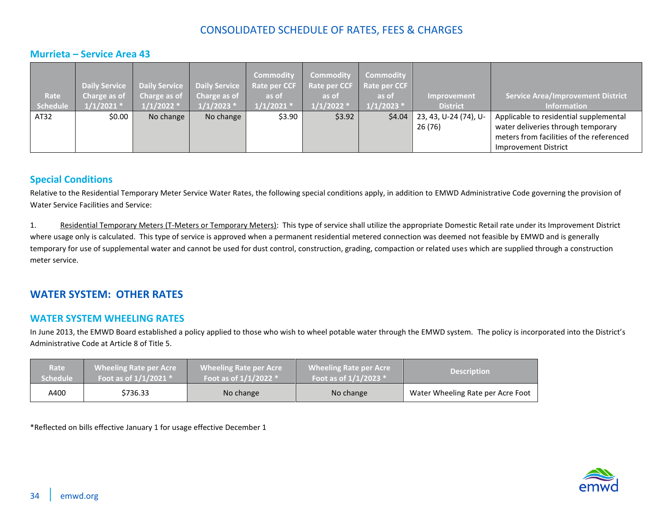### <span id="page-33-0"></span>**Murrieta – Service Area 43**

| Rate<br>Schedule | <b>Daily Service</b><br>Charge as of<br>$1/1/2021$ * | Charge as of<br>$1/1/2022$ * | Daily Service   Daily Service<br>$\blacksquare$ Charge as of<br>$1/1/2023$ * | <b>Commodity</b><br><b>Rate per CCF</b><br>as of<br>$1/1/2021$ * | <b>Commodity</b><br>Rate per CCF<br>as of<br>$1/1/2022$ $^{*}$ | <b>Commodity</b><br>Rate per CCF<br>as of<br>$1/1/2023$ * | <b>Improvement</b><br><b>District</b> | <b>Service Area/Improvement District</b><br><b>Information</b>                 |
|------------------|------------------------------------------------------|------------------------------|------------------------------------------------------------------------------|------------------------------------------------------------------|----------------------------------------------------------------|-----------------------------------------------------------|---------------------------------------|--------------------------------------------------------------------------------|
| AT32             | \$0.00                                               | No change                    | No change                                                                    | \$3.90                                                           | \$3.92                                                         | \$4.04                                                    | 23, 43, U-24 (74), U-                 | Applicable to residential supplemental                                         |
|                  |                                                      |                              |                                                                              |                                                                  |                                                                |                                                           | 26 (76)                               | water deliveries through temporary<br>meters from facilities of the referenced |
|                  |                                                      |                              |                                                                              |                                                                  |                                                                |                                                           |                                       | Improvement District                                                           |

#### <span id="page-33-1"></span>**Special Conditions**

Relative to the Residential Temporary Meter Service Water Rates, the following special conditions apply, in addition to EMWD Administrative Code governing the provision of Water Service Facilities and Service:

1. Residential Temporary Meters (T-Meters or Temporary Meters): This type of service shall utilize the appropriate Domestic Retail rate under its Improvement District where usage only is calculated. This type of service is approved when a permanent residential metered connection was deemed not feasible by EMWD and is generally temporary for use of supplemental water and cannot be used for dust control, construction, grading, compaction or related uses which are supplied through a construction meter service.

### <span id="page-33-2"></span>**WATER SYSTEM: OTHER RATES**

#### <span id="page-33-3"></span>**WATER SYSTEM WHEELING RATES**

In June 2013, the EMWD Board established a policy applied to those who wish to wheel potable water through the EMWD system. The policy is incorporated into the District's Administrative Code at Article 8 of Title 5.

| <b>Rate</b>     | <b>Wheeling Rate per Acre</b> | <b>Wheeling Rate per Acre</b> | <b>Wheeling Rate per Acre</b> | <b>Description</b>                |
|-----------------|-------------------------------|-------------------------------|-------------------------------|-----------------------------------|
| <b>Schedule</b> | Foot as of $1/1/2021$ *       | Foot as of $1/1/2022$ *       | Foot as of $1/1/2023$ *       |                                   |
| A400            | \$736.33                      | No change                     | No change                     | Water Wheeling Rate per Acre Foot |

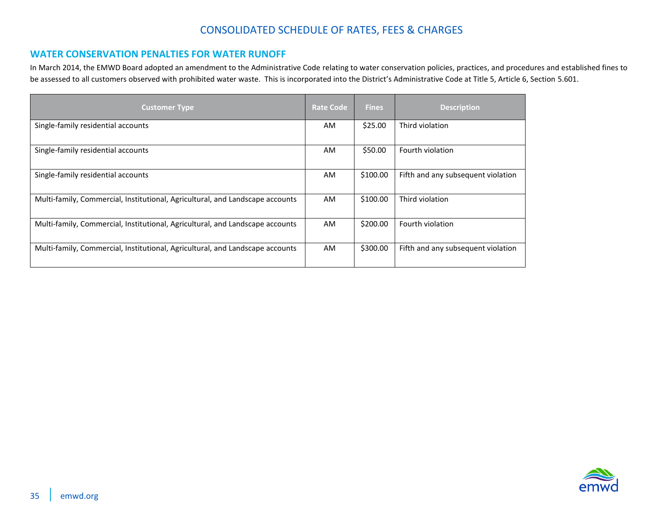#### <span id="page-34-0"></span>**WATER CONSERVATION PENALTIES FOR WATER RUNOFF**

In March 2014, the EMWD Board adopted an amendment to the Administrative Code relating to water conservation policies, practices, and procedures and established fines to be assessed to all customers observed with prohibited water waste. This is incorporated into the District's Administrative Code at Title 5, Article 6, Section 5.601.

| <b>Customer Type</b>                                                          | <b>Rate Code</b> | <b>Fines</b> | <b>Description</b>                 |
|-------------------------------------------------------------------------------|------------------|--------------|------------------------------------|
| Single-family residential accounts                                            | AM               | \$25.00      | Third violation                    |
| Single-family residential accounts                                            | AM               | \$50.00      | Fourth violation                   |
| Single-family residential accounts                                            | AM               | \$100.00     | Fifth and any subsequent violation |
| Multi-family, Commercial, Institutional, Agricultural, and Landscape accounts | AM               | \$100.00     | Third violation                    |
| Multi-family, Commercial, Institutional, Agricultural, and Landscape accounts | AM               | \$200.00     | Fourth violation                   |
| Multi-family, Commercial, Institutional, Agricultural, and Landscape accounts | AM               | \$300.00     | Fifth and any subsequent violation |

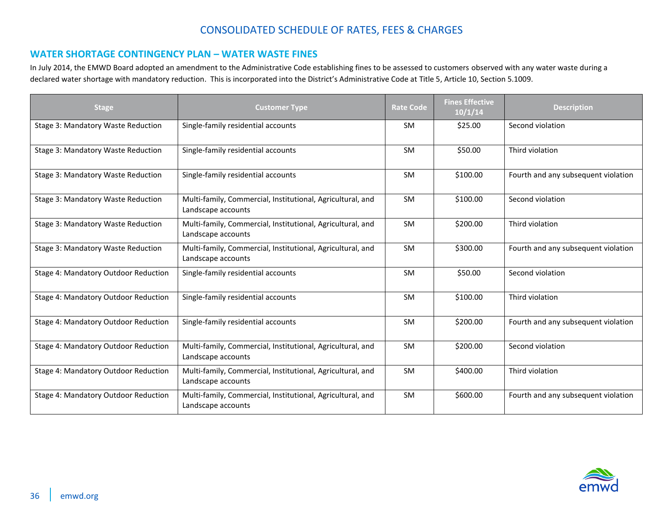### <span id="page-35-0"></span>**WATER SHORTAGE CONTINGENCY PLAN – WATER WASTE FINES**

In July 2014, the EMWD Board adopted an amendment to the Administrative Code establishing fines to be assessed to customers observed with any water waste during a declared water shortage with mandatory reduction. This is incorporated into the District's Administrative Code at Title 5, Article 10, Section 5.1009.

| <b>Stage</b>                         | <b>Customer Type</b>                                                             | <b>Rate Code</b> | <b>Fines Effective</b><br>10/1/14 | <b>Description</b>                  |
|--------------------------------------|----------------------------------------------------------------------------------|------------------|-----------------------------------|-------------------------------------|
| Stage 3: Mandatory Waste Reduction   | Single-family residential accounts                                               | <b>SM</b>        | \$25.00                           | Second violation                    |
| Stage 3: Mandatory Waste Reduction   | Single-family residential accounts                                               | <b>SM</b>        | \$50.00                           | Third violation                     |
| Stage 3: Mandatory Waste Reduction   | Single-family residential accounts                                               | <b>SM</b>        | \$100.00                          | Fourth and any subsequent violation |
| Stage 3: Mandatory Waste Reduction   | Multi-family, Commercial, Institutional, Agricultural, and<br>Landscape accounts | <b>SM</b>        | \$100.00                          | Second violation                    |
| Stage 3: Mandatory Waste Reduction   | Multi-family, Commercial, Institutional, Agricultural, and<br>Landscape accounts | <b>SM</b>        | \$200.00                          | Third violation                     |
| Stage 3: Mandatory Waste Reduction   | Multi-family, Commercial, Institutional, Agricultural, and<br>Landscape accounts | SM               | \$300.00                          | Fourth and any subsequent violation |
| Stage 4: Mandatory Outdoor Reduction | Single-family residential accounts                                               | <b>SM</b>        | \$50.00                           | Second violation                    |
| Stage 4: Mandatory Outdoor Reduction | Single-family residential accounts                                               | <b>SM</b>        | \$100.00                          | Third violation                     |
| Stage 4: Mandatory Outdoor Reduction | Single-family residential accounts                                               | <b>SM</b>        | \$200.00                          | Fourth and any subsequent violation |
| Stage 4: Mandatory Outdoor Reduction | Multi-family, Commercial, Institutional, Agricultural, and<br>Landscape accounts | <b>SM</b>        | \$200.00                          | Second violation                    |
| Stage 4: Mandatory Outdoor Reduction | Multi-family, Commercial, Institutional, Agricultural, and<br>Landscape accounts | SM               | \$400.00                          | Third violation                     |
| Stage 4: Mandatory Outdoor Reduction | Multi-family, Commercial, Institutional, Agricultural, and<br>Landscape accounts | <b>SM</b>        | \$600.00                          | Fourth and any subsequent violation |

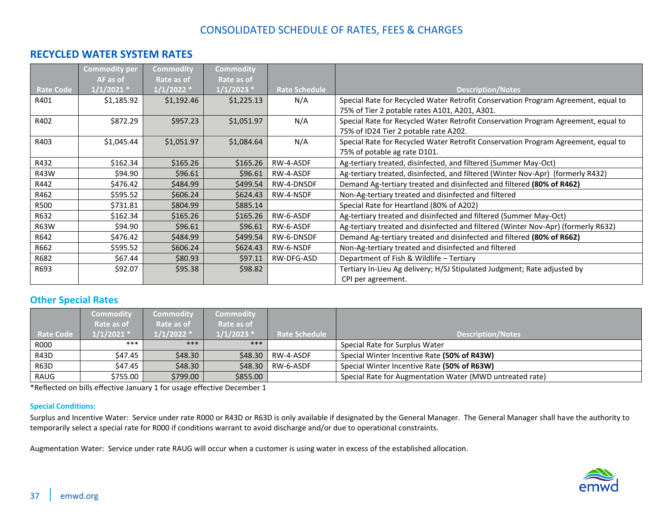### <span id="page-36-0"></span>**RECYCLED WATER SYSTEM RATES**

|                  | <b>Commodity per</b> | <b>Commodity</b> | Commodity    |                      |                                                                                   |
|------------------|----------------------|------------------|--------------|----------------------|-----------------------------------------------------------------------------------|
|                  | AF as of             | Rate as of       | Rate as of   |                      |                                                                                   |
| <b>Rate Code</b> | $1/1/2021$ *         | $1/1/2022$ *     | $1/1/2023$ * | <b>Rate Schedule</b> | <b>Description/Notes</b>                                                          |
| R401             | \$1,185.92           | \$1,192.46       | \$1,225.13   | N/A                  | Special Rate for Recycled Water Retrofit Conservation Program Agreement, equal to |
|                  |                      |                  |              |                      | 75% of Tier 2 potable rates A101, A201, A301.                                     |
| R402             | \$872.29             | \$957.23         | \$1,051.97   | N/A                  | Special Rate for Recycled Water Retrofit Conservation Program Agreement, equal to |
|                  |                      |                  |              |                      | 75% of ID24 Tier 2 potable rate A202.                                             |
| R403             | \$1,045.44           | \$1,051.97       | \$1,084.64   | N/A                  | Special Rate for Recycled Water Retrofit Conservation Program Agreement, equal to |
|                  |                      |                  |              |                      | 75% of potable ag rate D101.                                                      |
| R432             | \$162.34             | \$165.26         | \$165.26     | RW-4-ASDF            | Ag-tertiary treated, disinfected, and filtered (Summer May-Oct)                   |
| R43W             | \$94.90              | \$96.61          | \$96.61      | RW-4-ASDF            | Ag-tertiary treated, disinfected, and filtered (Winter Nov-Apr) (formerly R432)   |
| R442             | \$476.42             | \$484.99         | \$499.54     | RW-4-DNSDF           | Demand Ag-tertiary treated and disinfected and filtered (80% of R462)             |
| R462             | \$595.52             | \$606.24         | \$624.43     | RW-4-NSDF            | Non-Ag-tertiary treated and disinfected and filtered                              |
| <b>R500</b>      | \$731.81             | \$804.99         | \$885.14     |                      | Special Rate for Heartland (80% of A202)                                          |
| R632             | \$162.34             | \$165.26         | \$165.26     | RW-6-ASDF            | Ag-tertiary treated and disinfected and filtered (Summer May-Oct)                 |
| <b>R63W</b>      | \$94.90              | \$96.61          | \$96.61      | RW-6-ASDF            | Ag-tertiary treated and disinfected and filtered (Winter Nov-Apr) (formerly R632) |
| R642             | \$476.42             | \$484.99         | \$499.54     | RW-6-DNSDF           | Demand Ag-tertiary treated and disinfected and filtered (80% of R662)             |
| R662             | \$595.52             | \$606.24         | \$624.43     | RW-6-NSDF            | Non-Ag-tertiary treated and disinfected and filtered                              |
| R682             | \$67.44              | \$80.93          | \$97.11      | RW-DFG-ASD           | Department of Fish & Wildlife - Tertiary                                          |
| R693             | \$92.07              | \$95.38          | \$98.82      |                      | Tertiary In-Lieu Ag delivery; H/SJ Stipulated Judgment; Rate adjusted by          |
|                  |                      |                  |              |                      | CPI per agreement.                                                                |

#### <span id="page-36-1"></span>**Other Special Rates**

|                  | <b>Commodity</b> | <b>Commodity</b> | <b>Commodity</b> |                      |                                                          |
|------------------|------------------|------------------|------------------|----------------------|----------------------------------------------------------|
|                  | Rate as of       | Rate as of       | Rate as of       |                      |                                                          |
| <b>Rate Code</b> | $1/1/2021$ *     | 1/1/2022 *       | $1/1/2023$ *     | <b>Rate Schedule</b> | <b>Description/Notes</b>                                 |
| R000             | ***              | ***              | ***              |                      | Special Rate for Surplus Water                           |
| R43D             | \$47.45          | \$48.30          | \$48.30          | RW-4-ASDF            | Special Winter Incentive Rate (50% of R43W)              |
| R63D             | \$47.45 l        | \$48.30          | \$48.30          | RW-6-ASDF            | Special Winter Incentive Rate (50% of R63W)              |
| RAUG             | \$755.00         | \$799.00         | \$855.00         |                      | Special Rate for Augmentation Water (MWD untreated rate) |

\*Reflected on bills effective January 1 for usage effective December 1

#### <span id="page-36-2"></span>**Special Conditions:**

Surplus and Incentive Water: Service under rate R000 or R43D or R63D is only available if designated by the General Manager. The General Manager shall have the authority to temporarily select a special rate for R000 if conditions warrant to avoid discharge and/or due to operational constraints.

Augmentation Water: Service under rate RAUG will occur when a customer is using water in excess of the established allocation.

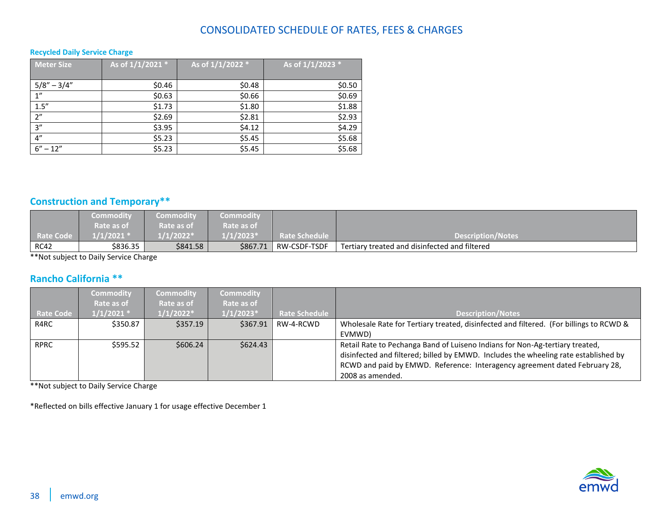#### <span id="page-37-0"></span>**Recycled Daily Service Charge**

| <b>Meter Size</b> | As of 1/1/2021 * | As of 1/1/2022 * | As of 1/1/2023 * |
|-------------------|------------------|------------------|------------------|
|                   |                  |                  |                  |
| $5/8'' - 3/4''$   | \$0.46           | \$0.48           | \$0.50           |
| 1"                | \$0.63           | \$0.66           | \$0.69           |
| 1.5''             | \$1.73           | \$1.80           | \$1.88           |
| 2"                | \$2.69           | \$2.81           | \$2.93           |
| 3''               | \$3.95           | \$4.12           | \$4.29           |
| 4"                | \$5.23           | \$5.45           | \$5.68           |
| $6'' - 12''$      | \$5.23           | \$5.45           | \$5.68           |

### <span id="page-37-1"></span>**Construction and Temporary\*\***

|                  | Commodity            | <b>Commodity</b> | <b>Commodity</b> |                      |                                               |
|------------------|----------------------|------------------|------------------|----------------------|-----------------------------------------------|
|                  | Rate as of           | Rate as of       | Rate as of       |                      |                                               |
| <b>Rate Code</b> | $1/1/2021$ $^{\ast}$ | $1/2022*$        | $1/1/2023*$      | <b>Rate Schedule</b> | Description/Notes                             |
| <b>RC42</b>      | \$836.35             | \$841.58         | \$867.71         | RW-CSDF-TSDF         | Tertiary treated and disinfected and filtered |

\*\*Not subject to Daily Service Charge

### <span id="page-37-2"></span>**Rancho California \*\***

|             | <b>Commodity</b> | <b>Commodity</b> | <b>Commodity</b> |                      |                                                                                        |
|-------------|------------------|------------------|------------------|----------------------|----------------------------------------------------------------------------------------|
|             | Rate as of       | Rate as of       | Rate as of       |                      |                                                                                        |
| Rate Code   | $1/1/2021$ *     | $1/1/2022*$      | $1/1/2023*$      | <b>Rate Schedule</b> | <b>Description/Notes</b>                                                               |
| R4RC        | \$350.87         | \$357.19         | \$367.91         | RW-4-RCWD            | Wholesale Rate for Tertiary treated, disinfected and filtered. (For billings to RCWD & |
|             |                  |                  |                  |                      | EVMWD)                                                                                 |
| <b>RPRC</b> | \$595.52         | \$606.24         | \$624.43         |                      | Retail Rate to Pechanga Band of Luiseno Indians for Non-Ag-tertiary treated,           |
|             |                  |                  |                  |                      | disinfected and filtered; billed by EMWD. Includes the wheeling rate established by    |
|             |                  |                  |                  |                      | RCWD and paid by EMWD. Reference: Interagency agreement dated February 28,             |
|             |                  |                  |                  |                      | 2008 as amended.                                                                       |

\*\*Not subject to Daily Service Charge

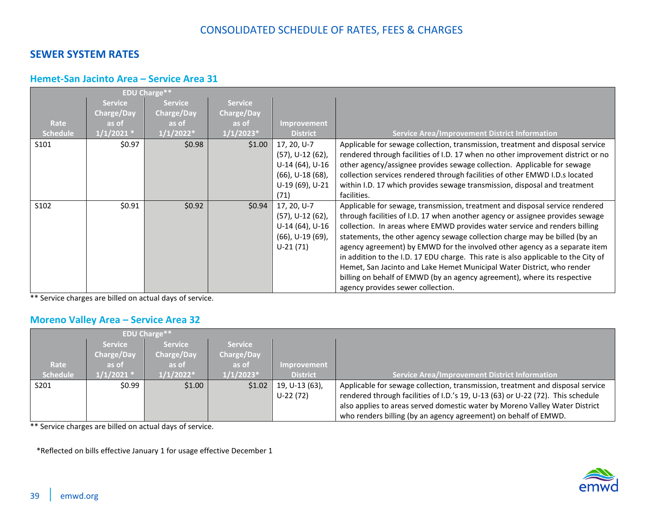### <span id="page-38-0"></span>**SEWER SYSTEM RATES**

### <span id="page-38-1"></span>**Hemet-San Jacinto Area – Service Area 31**

|                  |                | <b>EDU Charge**</b> |                |                        |                                                                                    |
|------------------|----------------|---------------------|----------------|------------------------|------------------------------------------------------------------------------------|
|                  | <b>Service</b> | <b>Service</b>      | <b>Service</b> |                        |                                                                                    |
|                  | Charge/Day     | <b>Charge/Day</b>   | Charge/Day     |                        |                                                                                    |
| Rate             | as of          | as of               | as of          | <b>Improvement</b>     |                                                                                    |
| <b>Schedule</b>  | $1/1/2021$ *   | $1/1/2022*$         | $1/1/2023*$    | <b>District</b>        | <b>Service Area/Improvement District Information</b>                               |
| S101             | \$0.97         | \$0.98              | \$1.00         | 17, 20, U-7            | Applicable for sewage collection, transmission, treatment and disposal service     |
|                  |                |                     |                | (57), U-12 (62),       | rendered through facilities of I.D. 17 when no other improvement district or no    |
|                  |                |                     |                | U-14 (64), U-16        | other agency/assignee provides sewage collection. Applicable for sewage            |
|                  |                |                     |                | $(66)$ , U-18 $(68)$ , | collection services rendered through facilities of other EMWD I.D.s located        |
|                  |                |                     |                | U-19 (69), U-21        | within I.D. 17 which provides sewage transmission, disposal and treatment          |
|                  |                |                     |                | (71)                   | facilities.                                                                        |
| S <sub>102</sub> | \$0.91         | \$0.92              | \$0.94         | 17, 20, U-7            | Applicable for sewage, transmission, treatment and disposal service rendered       |
|                  |                |                     |                | (57), U-12 (62),       | through facilities of I.D. 17 when another agency or assignee provides sewage      |
|                  |                |                     |                | U-14 (64), U-16        | collection. In areas where EMWD provides water service and renders billing         |
|                  |                |                     |                | $(66)$ , U-19 $(69)$ , | statements, the other agency sewage collection charge may be billed (by an         |
|                  |                |                     |                | $U-21(71)$             | agency agreement) by EMWD for the involved other agency as a separate item         |
|                  |                |                     |                |                        | in addition to the I.D. 17 EDU charge. This rate is also applicable to the City of |
|                  |                |                     |                |                        | Hemet, San Jacinto and Lake Hemet Municipal Water District, who render             |
|                  |                |                     |                |                        | billing on behalf of EMWD (by an agency agreement), where its respective           |
|                  |                |                     |                |                        | agency provides sewer collection.                                                  |

\*\* Service charges are billed on actual days of service.

### <span id="page-38-2"></span>**Moreno Valley Area – Service Area 32**

|                 | <b>EDU Charge**</b> |                |                |                 |                                                                                 |  |
|-----------------|---------------------|----------------|----------------|-----------------|---------------------------------------------------------------------------------|--|
|                 | <b>Service</b>      | <b>Service</b> | <b>Service</b> |                 |                                                                                 |  |
|                 | Charge/Day          | Charge/Day     | Charge/Day     |                 |                                                                                 |  |
| Rate            | as of               | as of          | as of          | Improvement     |                                                                                 |  |
| <b>Schedule</b> | $1/1/2021$ *        | $1/1/2022*$    | $1/1/2023*$    | <b>District</b> | Service Area/Improvement District Information                                   |  |
| S201            | \$0.99              | \$1.00         | \$1.02         | 19, U-13 (63),  | Applicable for sewage collection, transmission, treatment and disposal service  |  |
|                 |                     |                |                | $U-22(72)$      | rendered through facilities of I.D.'s 19, U-13 (63) or U-22 (72). This schedule |  |
|                 |                     |                |                |                 | also applies to areas served domestic water by Moreno Valley Water District     |  |
|                 |                     |                |                |                 | who renders billing (by an agency agreement) on behalf of EMWD.                 |  |

\*\* Service charges are billed on actual days of service.

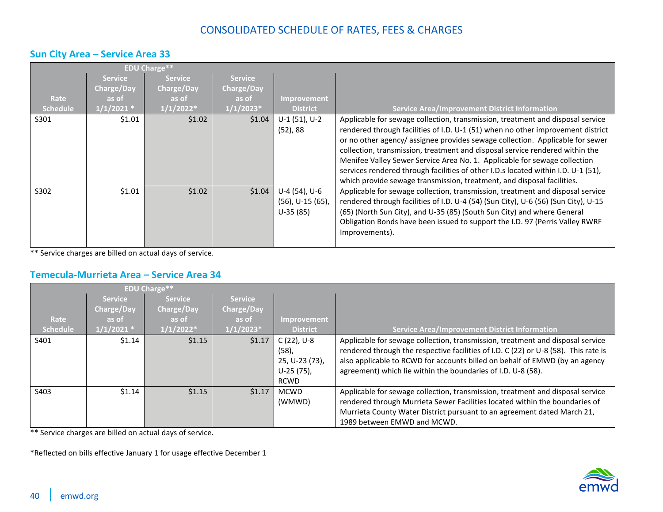### <span id="page-39-0"></span>**Sun City Area – Service Area 33**

|                         |                                                       | <b>EDU Charge**</b>                                  |                                                      |                                                       |                                                                                                                                                                                                                                                                                                                                                                                                                                                                                                                                                                                |
|-------------------------|-------------------------------------------------------|------------------------------------------------------|------------------------------------------------------|-------------------------------------------------------|--------------------------------------------------------------------------------------------------------------------------------------------------------------------------------------------------------------------------------------------------------------------------------------------------------------------------------------------------------------------------------------------------------------------------------------------------------------------------------------------------------------------------------------------------------------------------------|
| Rate<br><b>Schedule</b> | <b>Service</b><br>Charge/Day<br>as of<br>$1/1/2021$ * | <b>Service</b><br>Charge/Day<br>as of<br>$1/1/2022*$ | <b>Service</b><br>Charge/Day<br>as of<br>$1/1/2023*$ | <b>Improvement</b><br><b>District</b>                 | <b>Service Area/Improvement District Information</b>                                                                                                                                                                                                                                                                                                                                                                                                                                                                                                                           |
| S301                    | \$1.01                                                | \$1.02                                               | \$1.04                                               | $U-1$ (51), $U-2$<br>$(52)$ , 88                      | Applicable for sewage collection, transmission, treatment and disposal service<br>rendered through facilities of I.D. U-1 (51) when no other improvement district<br>or no other agency/ assignee provides sewage collection. Applicable for sewer<br>collection, transmission, treatment and disposal service rendered within the<br>Menifee Valley Sewer Service Area No. 1. Applicable for sewage collection<br>services rendered through facilities of other I.D.s located within I.D. U-1 (51),<br>which provide sewage transmission, treatment, and disposal facilities. |
| S302                    | \$1.01                                                | \$1.02                                               | \$1.04                                               | U-4 (54), U-6<br>$(56)$ , U-15 $(65)$ ,<br>$U-35(85)$ | Applicable for sewage collection, transmission, treatment and disposal service<br>rendered through facilities of I.D. U-4 (54) (Sun City), U-6 (56) (Sun City), U-15<br>(65) (North Sun City), and U-35 (85) (South Sun City) and where General<br>Obligation Bonds have been issued to support the I.D. 97 (Perris Valley RWRF<br>Improvements).                                                                                                                                                                                                                              |

\*\* Service charges are billed on actual days of service.

### <span id="page-39-1"></span>**Temecula-Murrieta Area – Service Area 34**

|                 |                | <b>EDU Charge**</b> |                   |                 |                                                                                     |
|-----------------|----------------|---------------------|-------------------|-----------------|-------------------------------------------------------------------------------------|
|                 | <b>Service</b> | <b>Service</b>      | <b>Service</b>    |                 |                                                                                     |
|                 | Charge/Day     | <b>Charge/Day</b>   | <b>Charge/Day</b> |                 |                                                                                     |
| Rate            | as of          | as of               | as of             | Improvement     |                                                                                     |
| <b>Schedule</b> | $1/1/2021$ *   | $1/1/2022*$         | $1/1/2023*$       | <b>District</b> | <b>Service Area/Improvement District Information</b>                                |
| S401            | \$1.14         | \$1.15              | \$1.17            | $C(22)$ , U-8   | Applicable for sewage collection, transmission, treatment and disposal service      |
|                 |                |                     |                   | $(58)$ ,        | rendered through the respective facilities of I.D. C (22) or U-8 (58). This rate is |
|                 |                |                     |                   | 25, U-23 (73),  | also applicable to RCWD for accounts billed on behalf of EMWD (by an agency         |
|                 |                |                     |                   | U-25 (75).      | agreement) which lie within the boundaries of I.D. U-8 (58).                        |
|                 |                |                     |                   | <b>RCWD</b>     |                                                                                     |
| S403            | \$1.14         | \$1.15              | \$1.17            | <b>MCWD</b>     | Applicable for sewage collection, transmission, treatment and disposal service      |
|                 |                |                     |                   | (WMWD)          | rendered through Murrieta Sewer Facilities located within the boundaries of         |
|                 |                |                     |                   |                 | Murrieta County Water District pursuant to an agreement dated March 21,             |
|                 |                |                     |                   |                 | 1989 between EMWD and MCWD.                                                         |

\*\* Service charges are billed on actual days of service.

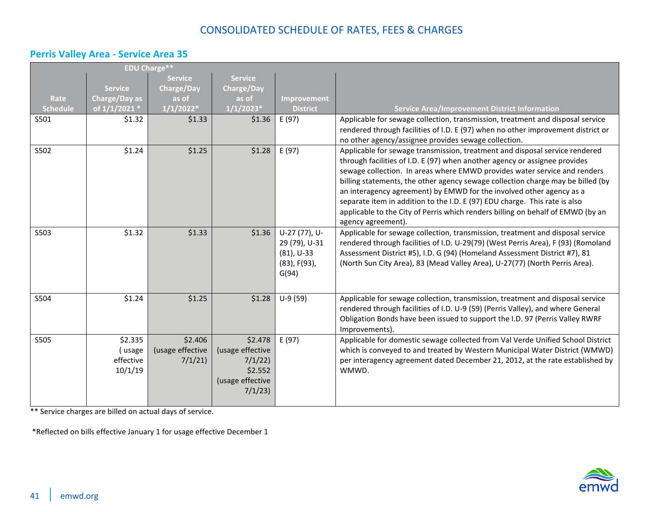## <span id="page-40-0"></span>**Perris Valley Area - Service Area 35**

|                 |                                           | <b>EDU Charge**</b>                   |                                                                                |                                                                                 |                                                                                                                                                                                                                                                                                                                                                                                                                                                                                                                                                                                          |
|-----------------|-------------------------------------------|---------------------------------------|--------------------------------------------------------------------------------|---------------------------------------------------------------------------------|------------------------------------------------------------------------------------------------------------------------------------------------------------------------------------------------------------------------------------------------------------------------------------------------------------------------------------------------------------------------------------------------------------------------------------------------------------------------------------------------------------------------------------------------------------------------------------------|
|                 |                                           | <b>Service</b>                        | <b>Service</b>                                                                 |                                                                                 |                                                                                                                                                                                                                                                                                                                                                                                                                                                                                                                                                                                          |
|                 | <b>Service</b>                            | <b>Charge/Day</b>                     | <b>Charge/Day</b>                                                              |                                                                                 |                                                                                                                                                                                                                                                                                                                                                                                                                                                                                                                                                                                          |
| Rate            | Charge/Day as                             | as of                                 | as of                                                                          | <b>Improvement</b>                                                              |                                                                                                                                                                                                                                                                                                                                                                                                                                                                                                                                                                                          |
| <b>Schedule</b> | of 1/1/2021 *                             | $1/1/2022*$                           | $1/1/2023*$                                                                    | <b>District</b>                                                                 | <b>Service Area/Improvement District Information</b>                                                                                                                                                                                                                                                                                                                                                                                                                                                                                                                                     |
| S501            | \$1.32                                    | \$1.33                                | \$1.36                                                                         | E (97)                                                                          | Applicable for sewage collection, transmission, treatment and disposal service<br>rendered through facilities of I.D. E (97) when no other improvement district or<br>no other agency/assignee provides sewage collection.                                                                                                                                                                                                                                                                                                                                                               |
| S502            | \$1.24                                    | \$1.25                                | \$1.28                                                                         | E (97)                                                                          | Applicable for sewage transmission, treatment and disposal service rendered<br>through facilities of I.D. E (97) when another agency or assignee provides<br>sewage collection. In areas where EMWD provides water service and renders<br>billing statements, the other agency sewage collection charge may be billed (by<br>an interagency agreement) by EMWD for the involved other agency as a<br>separate item in addition to the I.D. E (97) EDU charge. This rate is also<br>applicable to the City of Perris which renders billing on behalf of EMWD (by an<br>agency agreement). |
| S503            | \$1.32                                    | \$1.33                                | \$1.36                                                                         | U-27 (77), U-<br>29 (79), U-31<br>$(81)$ , U-33<br>$(83)$ , F $(93)$ ,<br>G(94) | Applicable for sewage collection, transmission, treatment and disposal service<br>rendered through facilities of I.D. U-29(79) (West Perris Area), F (93) (Romoland<br>Assessment District #5), I.D. G (94) (Homeland Assessment District #7), 81<br>(North Sun City Area), 83 (Mead Valley Area), U-27(77) (North Perris Area).                                                                                                                                                                                                                                                         |
| S504            | \$1.24                                    | \$1.25                                | \$1.28                                                                         | $U-9(59)$                                                                       | Applicable for sewage collection, transmission, treatment and disposal service<br>rendered through facilities of I.D. U-9 (59) (Perris Valley), and where General<br>Obligation Bonds have been issued to support the I.D. 97 (Perris Valley RWRF<br>Improvements).                                                                                                                                                                                                                                                                                                                      |
| S505            | \$2.335<br>(usage<br>effective<br>10/1/19 | \$2.406<br>(usage effective<br>7/1/21 | \$2.478<br>(usage effective<br>7/1/22<br>\$2.552<br>(usage effective<br>7/1/23 | E(97)                                                                           | Applicable for domestic sewage collected from Val Verde Unified School District<br>which is conveyed to and treated by Western Municipal Water District (WMWD)<br>per interagency agreement dated December 21, 2012, at the rate established by<br>WMWD.                                                                                                                                                                                                                                                                                                                                 |

\*\* Service charges are billed on actual days of service.

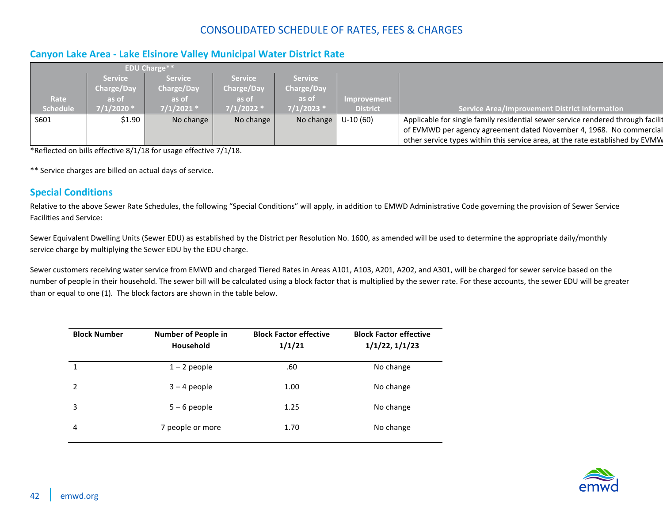### <span id="page-41-0"></span>**Canyon Lake Area - Lake Elsinore Valley Municipal Water District Rate**

|                 |                                              | <b>EDU Charge**</b>                   |                                       |                                       |                    |                                                                                                                                                                                                                                         |
|-----------------|----------------------------------------------|---------------------------------------|---------------------------------------|---------------------------------------|--------------------|-----------------------------------------------------------------------------------------------------------------------------------------------------------------------------------------------------------------------------------------|
| Rate            | <b>Service</b><br><b>Charge/Day</b><br>as of | <b>Service</b><br>Charge/Day<br>as of | <b>Service</b><br>Charge/Day<br>as of | <b>Service</b><br>Charge/Day<br>as of | <b>Improvement</b> |                                                                                                                                                                                                                                         |
| <b>Schedule</b> | $7/1/2020$ *                                 | $7/1/2021$ *                          | $7/1/2022$ *                          | $7/1/2023$ *                          | <b>District</b>    | <b>Service Area/Improvement District Information</b>                                                                                                                                                                                    |
| S601            | \$1.90                                       | No change                             | No change                             | No change                             | U-10 (60)          | Applicable for single family residential sewer service rendered through facilit<br>of EVMWD per agency agreement dated November 4, 1968. No commercial<br>other service types within this service area, at the rate established by EVMW |

\*Reflected on bills effective 8/1/18 for usage effective 7/1/18.

\*\* Service charges are billed on actual days of service.

#### <span id="page-41-1"></span>**Special Conditions**

Relative to the above Sewer Rate Schedules, the following "Special Conditions" will apply, in addition to EMWD Administrative Code governing the provision of Sewer Service Facilities and Service:

Sewer Equivalent Dwelling Units (Sewer EDU) as established by the District per Resolution No. 1600, as amended will be used to determine the appropriate daily/monthly service charge by multiplying the Sewer EDU by the EDU charge.

Sewer customers receiving water service from EMWD and charged Tiered Rates in Areas A101, A103, A201, A202, and A301, will be charged for sewer service based on the number of people in their household. The sewer bill will be calculated using a block factor that is multiplied by the sewer rate. For these accounts, the sewer EDU will be greater than or equal to one (1). The block factors are shown in the table below.

| <b>Block Number</b> | <b>Number of People in</b><br>Household | <b>Block Factor effective</b><br>1/1/21 | <b>Block Factor effective</b><br>1/1/22, 1/1/23 |
|---------------------|-----------------------------------------|-----------------------------------------|-------------------------------------------------|
| $\mathbf{1}$        | $1 - 2$ people                          | .60                                     | No change                                       |
| $\mathcal{P}$       | $3 - 4$ people                          | 1.00                                    | No change                                       |
| 3                   | $5 - 6$ people                          | 1.25                                    | No change                                       |
| $\overline{4}$      | 7 people or more                        | 1.70                                    | No change                                       |

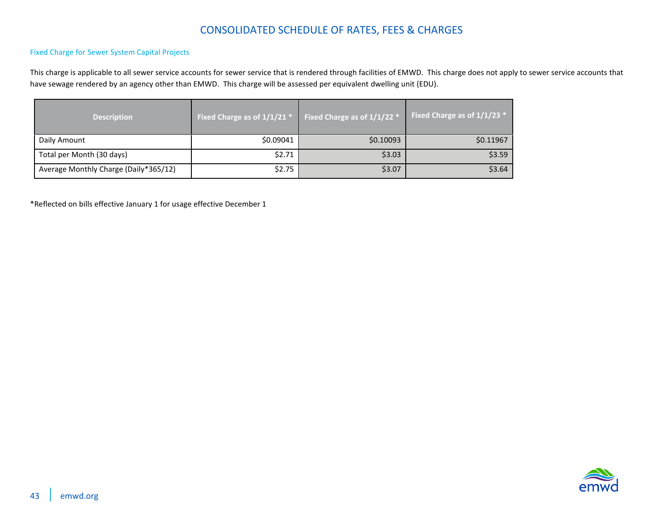#### Fixed Charge for Sewer System Capital Projects

This charge is applicable to all sewer service accounts for sewer service that is rendered through facilities of EMWD. This charge does not apply to sewer service accounts that have sewage rendered by an agency other than EMWD. This charge will be assessed per equivalent dwelling unit (EDU).

| <b>Description</b>                    | Fixed Charge as of $1/1/21$ * | Fixed Charge as of $1/1/22$ <sup>*</sup> | Fixed Charge as of 1/1/23 * |
|---------------------------------------|-------------------------------|------------------------------------------|-----------------------------|
| Daily Amount                          | \$0.09041                     | \$0.10093                                | \$0.11967                   |
| Total per Month (30 days)             | \$2.71                        | \$3.03                                   | \$3.59                      |
| Average Monthly Charge (Daily*365/12) | \$2.75                        | \$3.07                                   | \$3.64                      |

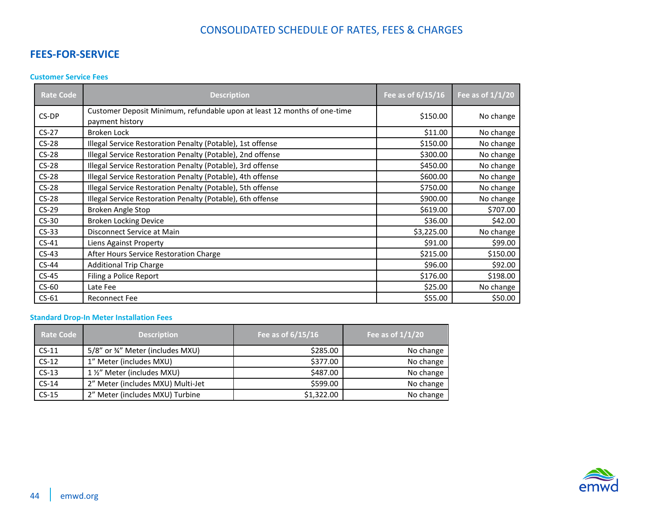### <span id="page-43-0"></span>**FEES-FOR-SERVICE**

#### <span id="page-43-1"></span>**Customer Service Fees**

| <b>Rate Code</b> | <b>Description</b>                                                                          | Fee as of $6/15/16$ | Fee as of $1/1/20$ |
|------------------|---------------------------------------------------------------------------------------------|---------------------|--------------------|
| CS-DP            | Customer Deposit Minimum, refundable upon at least 12 months of one-time<br>payment history | \$150.00            | No change          |
| $CS-27$          | <b>Broken Lock</b>                                                                          | \$11.00             | No change          |
| $CS-28$          | Illegal Service Restoration Penalty (Potable), 1st offense                                  | \$150.00            | No change          |
| $CS-28$          | Illegal Service Restoration Penalty (Potable), 2nd offense                                  | \$300.00            | No change          |
| $CS-28$          | Illegal Service Restoration Penalty (Potable), 3rd offense                                  | \$450.00            | No change          |
| $CS-28$          | Illegal Service Restoration Penalty (Potable), 4th offense                                  | \$600.00            | No change          |
| $CS-28$          | Illegal Service Restoration Penalty (Potable), 5th offense                                  | \$750.00            | No change          |
| $CS-28$          | Illegal Service Restoration Penalty (Potable), 6th offense                                  | \$900.00            | No change          |
| $CS-29$          | Broken Angle Stop                                                                           | \$619.00            | \$707.00           |
| $CS-30$          | <b>Broken Locking Device</b>                                                                | \$36.00             | \$42.00            |
| $CS-33$          | Disconnect Service at Main                                                                  | \$3,225.00          | No change          |
| $CS-41$          | Liens Against Property                                                                      | \$91.00             | \$99.00            |
| $CS-43$          | After Hours Service Restoration Charge                                                      | \$215.00            | \$150.00           |
| $CS-44$          | <b>Additional Trip Charge</b>                                                               | \$96.00             | \$92.00            |
| $CS-45$          | Filing a Police Report                                                                      | \$176.00            | \$198.00           |
| $CS-60$          | Late Fee                                                                                    | \$25.00             | No change          |
| $CS-61$          | <b>Reconnect Fee</b>                                                                        | \$55.00             | \$50.00            |

#### <span id="page-43-2"></span>**Standard Drop-In Meter Installation Fees**

| <b>Rate Code</b> | <b>Description</b>                | Fee as of 6/15/16 | Fee as of $1/1/20$ |
|------------------|-----------------------------------|-------------------|--------------------|
| $CS-11$          | 5/8" or 34" Meter (includes MXU)  | \$285.00          | No change          |
| $CS-12$          | 1" Meter (includes MXU)           | \$377.00          | No change          |
| $CS-13$          | 1 1/2" Meter (includes MXU)       | \$487.00          | No change          |
| $CS-14$          | 2" Meter (includes MXU) Multi-Jet | \$599.00          | No change          |
| $CS-15$          | 2" Meter (includes MXU) Turbine   | \$1,322.00        | No change          |

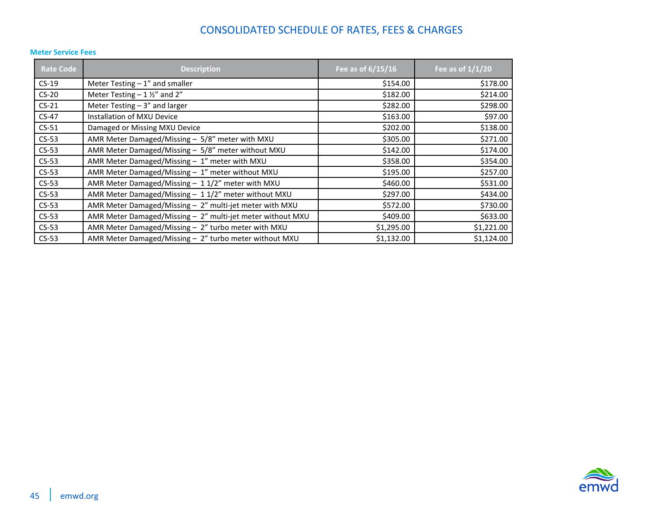| <b>Rate Code</b> | <b>Description</b>                                         | Fee as of 6/15/16 | Fee as of $1/1/20$ |
|------------------|------------------------------------------------------------|-------------------|--------------------|
| $CS-19$          | Meter Testing $-1$ " and smaller                           | \$154.00          | \$178.00           |
| $CS-20$          | Meter Testing $-1\frac{1}{2}$ and 2"                       | \$182.00          | \$214.00           |
| $CS-21$          | Meter Testing $-3$ " and larger                            | \$282.00          | \$298.00           |
| $CS-47$          | Installation of MXU Device                                 | \$163.00          | \$97.00            |
| $CS-51$          | Damaged or Missing MXU Device                              | \$202.00          | \$138.00           |
| $CS-53$          | AMR Meter Damaged/Missing - 5/8" meter with MXU            | \$305.00          | \$271.00           |
| $CS-53$          | AMR Meter Damaged/Missing - 5/8" meter without MXU         | \$142.00          | \$174.00           |
| $CS-53$          | AMR Meter Damaged/Missing - 1" meter with MXU              | \$358.00          | \$354.00           |
| $CS-53$          | AMR Meter Damaged/Missing - 1" meter without MXU           | \$195.00          | \$257.00           |
| $CS-53$          | AMR Meter Damaged/Missing - 11/2" meter with MXU           | \$460.00          | \$531.00           |
| $CS-53$          | AMR Meter Damaged/Missing - 11/2" meter without MXU        | \$297.00          | \$434.00           |
| $CS-53$          | AMR Meter Damaged/Missing - 2" multi-jet meter with MXU    | \$572.00          | \$730.00           |
| $CS-53$          | AMR Meter Damaged/Missing - 2" multi-jet meter without MXU | \$409.00          | \$633.00           |
| $CS-53$          | AMR Meter Damaged/Missing - 2" turbo meter with MXU        | \$1,295.00        | \$1,221.00         |
| $CS-53$          | AMR Meter Damaged/Missing - 2" turbo meter without MXU     | \$1,132.00        | \$1,124.00         |

#### <span id="page-44-0"></span>**Meter Service Fees**

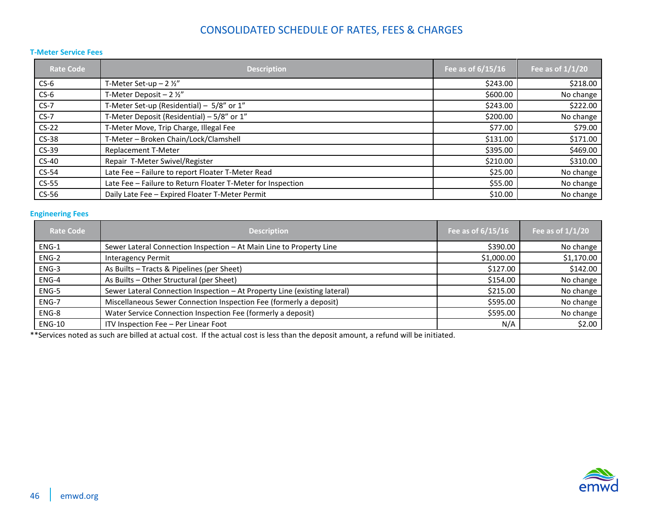#### <span id="page-45-0"></span>**T-Meter Service Fees**

| <b>Rate Code</b> | <b>Description</b>                                          | Fee as of $6/15/16$ | Fee as of $1/1/20$ |
|------------------|-------------------------------------------------------------|---------------------|--------------------|
| $CS-6$           | T-Meter Set-up $-2\frac{1}{2}$ "                            | \$243.00            | \$218.00           |
| $CS-6$           | T-Meter Deposit - $2 \frac{1}{2}$                           | \$600.00            | No change          |
| $CS-7$           | T-Meter Set-up (Residential) - 5/8" or 1"                   | \$243.00            | \$222.00           |
| $CS-7$           | T-Meter Deposit (Residential) - 5/8" or 1"                  | \$200.00            | No change          |
| $CS-22$          | T-Meter Move, Trip Charge, Illegal Fee                      | \$77.00             | \$79.00            |
| $CS-38$          | T-Meter - Broken Chain/Lock/Clamshell                       | \$131.00            | \$171.00           |
| $CS-39$          | <b>Replacement T-Meter</b>                                  | \$395.00            | \$469.00           |
| $CS-40$          | Repair T-Meter Swivel/Register                              | \$210.00            | \$310.00           |
| $CS-54$          | Late Fee - Failure to report Floater T-Meter Read           | \$25.00             | No change          |
| $CS-55$          | Late Fee - Failure to Return Floater T-Meter for Inspection | \$55.00             | No change          |
| $CS-56$          | Daily Late Fee - Expired Floater T-Meter Permit             | \$10.00             | No change          |

#### <span id="page-45-1"></span>**Engineering Fees**

| <b>Rate Code</b> | <b>Description</b>                                                        | Fee as of 6/15/16 | Fee as of $1/1/20$ |
|------------------|---------------------------------------------------------------------------|-------------------|--------------------|
| ENG-1            | Sewer Lateral Connection Inspection - At Main Line to Property Line       | \$390.00          | No change          |
| ENG-2            | <b>Interagency Permit</b>                                                 | \$1,000.00        | \$1,170.00         |
| ENG-3            | As Builts - Tracts & Pipelines (per Sheet)                                | \$127.00          | \$142.00           |
| ENG-4            | As Builts - Other Structural (per Sheet)                                  | \$154.00          | No change          |
| ENG-5            | Sewer Lateral Connection Inspection - At Property Line (existing lateral) | \$215.00          | No change          |
| ENG-7            | Miscellaneous Sewer Connection Inspection Fee (formerly a deposit)        | \$595.00          | No change          |
| ENG-8            | Water Service Connection Inspection Fee (formerly a deposit)              | \$595.00          | No change          |
| <b>ENG-10</b>    | ITV Inspection Fee - Per Linear Foot                                      | N/A               | \$2.00             |

\*\*Services noted as such are billed at actual cost. If the actual cost is less than the deposit amount, a refund will be initiated.

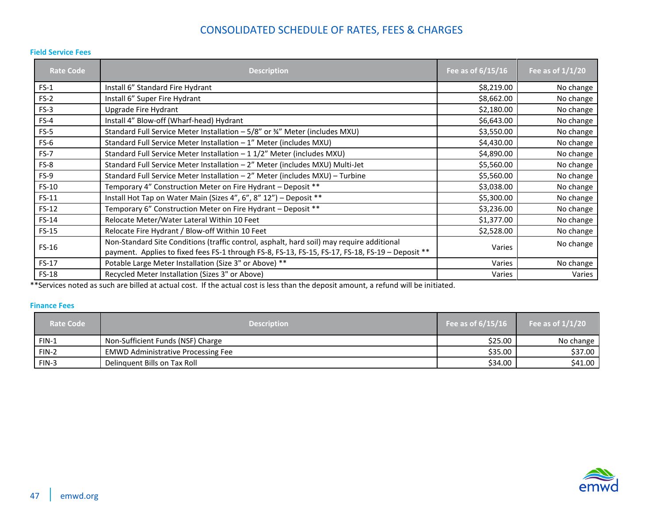#### <span id="page-46-0"></span>**Field Service Fees**

| <b>Rate Code</b> | <b>Description</b>                                                                                                                                                                            | Fee as of 6/15/16 | Fee as of $1/1/20$ |
|------------------|-----------------------------------------------------------------------------------------------------------------------------------------------------------------------------------------------|-------------------|--------------------|
| $FS-1$           | Install 6" Standard Fire Hydrant                                                                                                                                                              | \$8,219.00        | No change          |
| $FS-2$           | Install 6" Super Fire Hydrant                                                                                                                                                                 | \$8,662.00        | No change          |
| $FS-3$           | Upgrade Fire Hydrant                                                                                                                                                                          | \$2,180.00        | No change          |
| $FS-4$           | Install 4" Blow-off (Wharf-head) Hydrant                                                                                                                                                      | \$6,643.00        | No change          |
| $FS-5$           | Standard Full Service Meter Installation - 5/8" or 34" Meter (includes MXU)                                                                                                                   | \$3,550.00        | No change          |
| $FS-6$           | Standard Full Service Meter Installation - 1" Meter (includes MXU)                                                                                                                            | \$4,430.00        | No change          |
| FS-7             | Standard Full Service Meter Installation $-11/2$ " Meter (includes MXU)                                                                                                                       | \$4,890.00        | No change          |
| FS-8             | Standard Full Service Meter Installation - 2" Meter (includes MXU) Multi-Jet                                                                                                                  | \$5,560.00        | No change          |
| $FS-9$           | Standard Full Service Meter Installation - 2" Meter (includes MXU) - Turbine                                                                                                                  | \$5,560.00        | No change          |
| $FS-10$          | Temporary 4" Construction Meter on Fire Hydrant - Deposit **                                                                                                                                  | \$3,038.00        | No change          |
| $FS-11$          | Install Hot Tap on Water Main (Sizes 4", 6", 8" 12") - Deposit **                                                                                                                             | \$5,300.00        | No change          |
| $FS-12$          | Temporary 6" Construction Meter on Fire Hydrant - Deposit **                                                                                                                                  | \$3,236.00        | No change          |
| FS-14            | Relocate Meter/Water Lateral Within 10 Feet                                                                                                                                                   | \$1,377.00        | No change          |
| $FS-15$          | Relocate Fire Hydrant / Blow-off Within 10 Feet                                                                                                                                               | \$2,528.00        | No change          |
| $FS-16$          | Non-Standard Site Conditions (traffic control, asphalt, hard soil) may require additional<br>payment. Applies to fixed fees FS-1 through FS-8, FS-13, FS-15, FS-17, FS-18, FS-19 - Deposit ** | Varies            | No change          |
| $FS-17$          | Potable Large Meter Installation (Size 3" or Above) **                                                                                                                                        | Varies            | No change          |
| FS-18            | Recycled Meter Installation (Sizes 3" or Above)                                                                                                                                               | Varies            | Varies             |

\*\*Services noted as such are billed at actual cost. If the actual cost is less than the deposit amount, a refund will be initiated.

#### <span id="page-46-1"></span>**Finance Fees**

| <b>Rate Code</b> | <b>Description</b>                        | Fee as of $6/15/16$ | Fee as of $1/1/20$ |
|------------------|-------------------------------------------|---------------------|--------------------|
| $FIN-1$          | Non-Sufficient Funds (NSF) Charge         | \$25.00             | No change          |
| FIN-2            | <b>EMWD Administrative Processing Fee</b> | \$35.00             | \$37.00            |
| $FIN-3$          | Delinguent Bills on Tax Roll              | \$34.00             | \$41.00            |

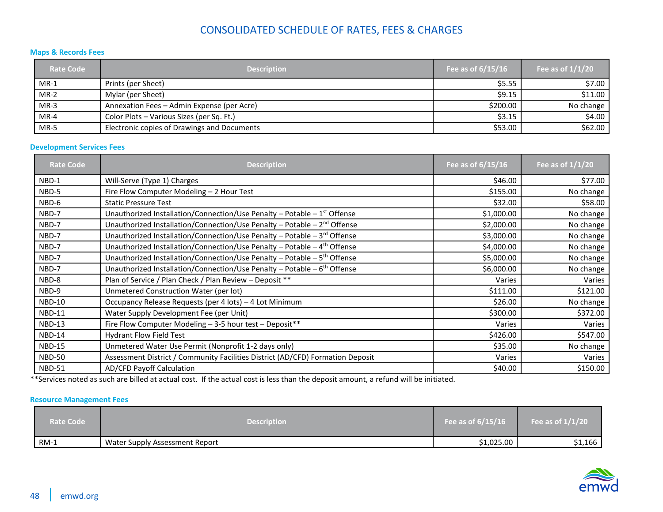#### <span id="page-47-0"></span>**Maps & Records Fees**

| <b>Rate Code</b> | <b>Description</b>                          | Fee as of 6/15/16 | Fee as of $1/1/20$ |
|------------------|---------------------------------------------|-------------------|--------------------|
| $MR-1$           | Prints (per Sheet)                          | \$5.55            | \$7.00             |
| $MR-2$           | Mylar (per Sheet)                           | \$9.15            | \$11.00            |
| $MR-3$           | Annexation Fees - Admin Expense (per Acre)  | \$200.00          | No change          |
| $MR-4$           | Color Plots - Various Sizes (per Sq. Ft.)   | \$3.15            | \$4.00             |
| $MR-5$           | Electronic copies of Drawings and Documents | \$53.00           | \$62.00            |

#### <span id="page-47-1"></span>**Development Services Fees**

| <b>Rate Code</b> | <b>Description</b>                                                                   | Fee as of 6/15/16 | Fee as of $1/1/20$ |
|------------------|--------------------------------------------------------------------------------------|-------------------|--------------------|
| NBD-1            | Will-Serve (Type 1) Charges                                                          | \$46.00           | \$77.00            |
| NBD-5            | Fire Flow Computer Modeling - 2 Hour Test                                            | \$155.00          | No change          |
| NBD-6            | <b>Static Pressure Test</b>                                                          | \$32.00           | \$58.00            |
| NBD-7            | Unauthorized Installation/Connection/Use Penalty - Potable - $1st$ Offense           | \$1,000.00        | No change          |
| NBD-7            | Unauthorized Installation/Connection/Use Penalty - Potable - 2 <sup>nd</sup> Offense | \$2,000.00        | No change          |
| NBD-7            | Unauthorized Installation/Connection/Use Penalty - Potable - 3rd Offense             | \$3,000.00        | No change          |
| NBD-7            | Unauthorized Installation/Connection/Use Penalty - Potable - 4 <sup>th</sup> Offense | \$4,000.00        | No change          |
| NBD-7            | Unauthorized Installation/Connection/Use Penalty - Potable - 5 <sup>th</sup> Offense | \$5,000.00        | No change          |
| NBD-7            | Unauthorized Installation/Connection/Use Penalty - Potable - $6th$ Offense           | \$6,000.00        | No change          |
| NBD-8            | Plan of Service / Plan Check / Plan Review - Deposit **                              | Varies            | Varies             |
| NBD-9            | Unmetered Construction Water (per lot)                                               | \$111.00          | \$121.00           |
| <b>NBD-10</b>    | Occupancy Release Requests (per 4 lots) - 4 Lot Minimum                              | \$26.00           | No change          |
| <b>NBD-11</b>    | Water Supply Development Fee (per Unit)                                              | \$300.00          | \$372.00           |
| <b>NBD-13</b>    | Fire Flow Computer Modeling - 3-5 hour test - Deposit**                              | Varies            | Varies             |
| <b>NBD-14</b>    | <b>Hydrant Flow Field Test</b>                                                       | \$426.00          | \$547.00           |
| <b>NBD-15</b>    | Unmetered Water Use Permit (Nonprofit 1-2 days only)                                 | \$35.00           | No change          |
| <b>NBD-50</b>    | Assessment District / Community Facilities District (AD/CFD) Formation Deposit       | Varies            | Varies             |
| <b>NBD-51</b>    | <b>AD/CFD Payoff Calculation</b>                                                     | \$40.00           | \$150.00           |

\*\*Services noted as such are billed at actual cost. If the actual cost is less than the deposit amount, a refund will be initiated.

#### <span id="page-47-2"></span>**Resource Management Fees**

| <b>Rate Code</b> | <b>Description</b>             | Fee as of $6/15/16$ | Fee as of $1/1/20$ |
|------------------|--------------------------------|---------------------|--------------------|
| RM-1             | Water Supply Assessment Report | \$1,025.00          | \$1,166            |

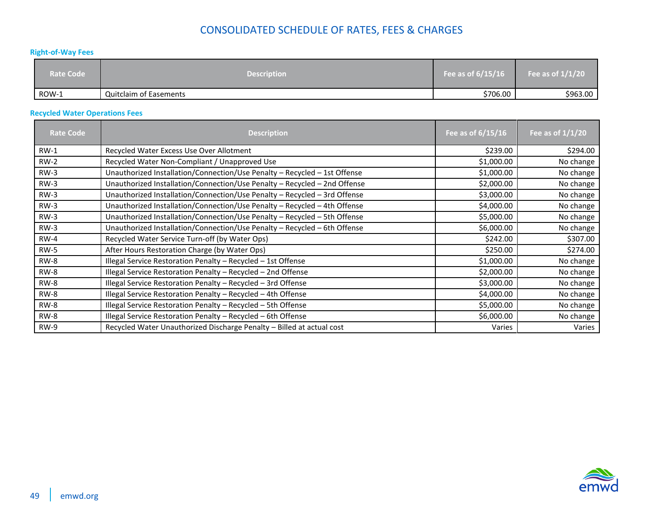#### <span id="page-48-0"></span>**Right-of-Way Fees**

| <b>Rate Code</b> | <b>Description</b>            | Fee as of $6/15/16$ | Fee as of $1/1/20$ |
|------------------|-------------------------------|---------------------|--------------------|
| ROW-1            | <b>Quitclaim of Easements</b> | \$706.00            | \$963.00           |

#### <span id="page-48-1"></span>**Recycled Water Operations Fees**

| Rate Code   | <b>Description</b>                                                        | Fee as of $6/15/16$ | Fee as of $1/1/20$ |
|-------------|---------------------------------------------------------------------------|---------------------|--------------------|
| $RW-1$      | Recycled Water Excess Use Over Allotment                                  | \$239.00            | \$294.00           |
| $RW-2$      | Recycled Water Non-Compliant / Unapproved Use                             | \$1,000.00          | No change          |
| $RW-3$      | Unauthorized Installation/Connection/Use Penalty - Recycled - 1st Offense | \$1,000.00          | No change          |
| $RW-3$      | Unauthorized Installation/Connection/Use Penalty - Recycled - 2nd Offense | \$2,000.00          | No change          |
| <b>RW-3</b> | Unauthorized Installation/Connection/Use Penalty - Recycled - 3rd Offense | \$3,000.00          | No change          |
| $RW-3$      | Unauthorized Installation/Connection/Use Penalty - Recycled - 4th Offense | \$4,000.00          | No change          |
| $RW-3$      | Unauthorized Installation/Connection/Use Penalty - Recycled - 5th Offense | \$5,000.00          | No change          |
| $RW-3$      | Unauthorized Installation/Connection/Use Penalty - Recycled - 6th Offense | \$6,000.00          | No change          |
| <b>RW-4</b> | Recycled Water Service Turn-off (by Water Ops)                            | \$242.00            | \$307.00           |
| <b>RW-5</b> | After Hours Restoration Charge (by Water Ops)                             | \$250.00            | \$274.00           |
| <b>RW-8</b> | Illegal Service Restoration Penalty - Recycled - 1st Offense              | \$1,000.00          | No change          |
| <b>RW-8</b> | Illegal Service Restoration Penalty - Recycled - 2nd Offense              | \$2,000.00          | No change          |
| <b>RW-8</b> | Illegal Service Restoration Penalty - Recycled - 3rd Offense              | \$3,000.00          | No change          |
| RW-8        | Illegal Service Restoration Penalty - Recycled - 4th Offense              | \$4,000.00          | No change          |
| <b>RW-8</b> | Illegal Service Restoration Penalty - Recycled - 5th Offense              | \$5,000.00          | No change          |
| RW-8        | Illegal Service Restoration Penalty - Recycled - 6th Offense              | \$6,000.00          | No change          |
| <b>RW-9</b> | Recycled Water Unauthorized Discharge Penalty - Billed at actual cost     | Varies              | Varies             |

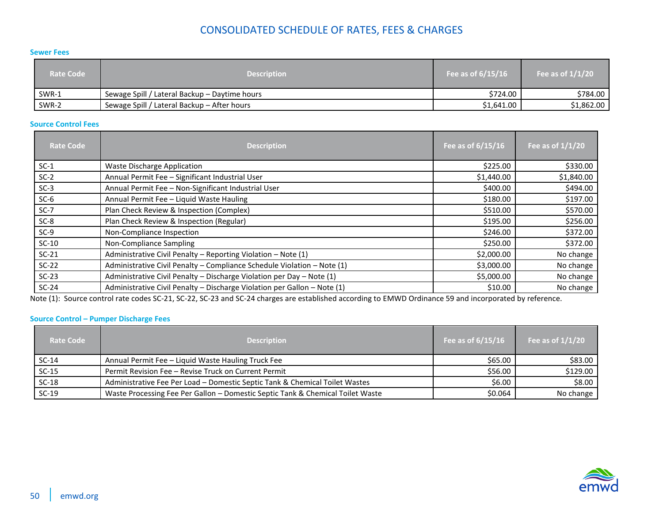#### <span id="page-49-0"></span>**Sewer Fees**

| <b>Rate Code</b> | <b>Description</b>                            | Fee as of $6/15/16$ | Fee as of $1/1/20$ |
|------------------|-----------------------------------------------|---------------------|--------------------|
| SWR-1            | Sewage Spill / Lateral Backup – Daytime hours | \$724.00            | \$784.00           |
| SWR-2            | Sewage Spill / Lateral Backup - After hours   | \$1,641.00          | \$1,862.00         |

#### <span id="page-49-1"></span>**Source Control Fees**

| <b>Rate Code</b> | <b>Description</b>                                                       | Fee as of 6/15/16 | Fee as of $1/1/20$ |
|------------------|--------------------------------------------------------------------------|-------------------|--------------------|
| $SC-1$           | <b>Waste Discharge Application</b>                                       | \$225.00          | \$330.00           |
| $SC-2$           | Annual Permit Fee - Significant Industrial User                          | \$1,440.00        | \$1,840.00         |
| $SC-3$           | Annual Permit Fee - Non-Significant Industrial User                      | \$400.00          | \$494.00           |
| $SC-6$           | Annual Permit Fee - Liquid Waste Hauling                                 | \$180.00          | \$197.00           |
| $SC-7$           | Plan Check Review & Inspection (Complex)                                 | \$510.00          | \$570.00           |
| $SC-8$           | Plan Check Review & Inspection (Regular)                                 | \$195.00          | \$256.00           |
| $SC-9$           | Non-Compliance Inspection                                                | \$246.00          | \$372.00           |
| $SC-10$          | Non-Compliance Sampling                                                  | \$250.00          | \$372.00           |
| $SC-21$          | Administrative Civil Penalty - Reporting Violation - Note (1)            | \$2,000.00        | No change          |
| $SC-22$          | Administrative Civil Penalty - Compliance Schedule Violation - Note (1)  | \$3,000.00        | No change          |
| $SC-23$          | Administrative Civil Penalty - Discharge Violation per Day - Note (1)    | \$5,000.00        | No change          |
| $SC-24$          | Administrative Civil Penalty - Discharge Violation per Gallon - Note (1) | \$10.00           | No change          |

Note (1): Source control rate codes SC-21, SC-22, SC-23 and SC-24 charges are established according to EMWD Ordinance 59 and incorporated by reference.

#### <span id="page-49-2"></span>**Source Control – Pumper Discharge Fees**

| <b>Rate Code</b> | <b>Description</b>                                                             | Fee as of $6/15/16$ | Fee as of $1/1/20$ |
|------------------|--------------------------------------------------------------------------------|---------------------|--------------------|
| $SC-14$          | Annual Permit Fee - Liquid Waste Hauling Truck Fee                             | \$65.00             | \$83.00            |
| $SC-15$          | Permit Revision Fee - Revise Truck on Current Permit                           | \$56.00             | \$129.00           |
| $SC-18$          | Administrative Fee Per Load - Domestic Septic Tank & Chemical Toilet Wastes    | \$6.00              | \$8.00             |
| $SC-19$          | Waste Processing Fee Per Gallon - Domestic Septic Tank & Chemical Toilet Waste | \$0.064             | No change          |

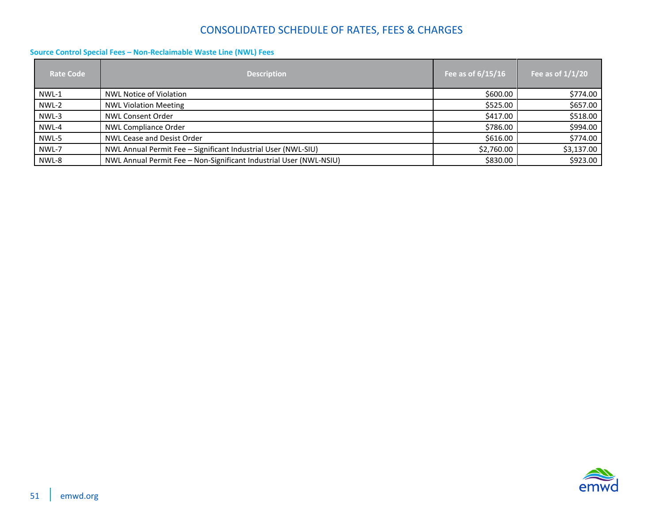#### <span id="page-50-0"></span>**Source Control Special Fees – Non-Reclaimable Waste Line (NWL) Fees**

| <b>Rate Code</b> | <b>Description</b>                                                 | Fee as of $\frac{6}{15}$ 15/16 | Fee as of $1/1/20$ |
|------------------|--------------------------------------------------------------------|--------------------------------|--------------------|
| NWL-1            | NWL Notice of Violation                                            | \$600.00                       | \$774.00           |
| NWL-2            | <b>NWL Violation Meeting</b>                                       | \$525.00                       | \$657.00           |
| NWL-3            | <b>NWL Consent Order</b>                                           | \$417.00                       | \$518.00           |
| NWL-4            | <b>NWL Compliance Order</b>                                        | \$786.00                       | \$994.00           |
| NWL-5            | <b>NWL Cease and Desist Order</b>                                  | \$616.00                       | \$774.00           |
| NWL-7            | NWL Annual Permit Fee - Significant Industrial User (NWL-SIU)      | \$2,760.00                     | \$3,137.00         |
| NWL-8            | NWL Annual Permit Fee - Non-Significant Industrial User (NWL-NSIU) | \$830.00                       | \$923.00           |

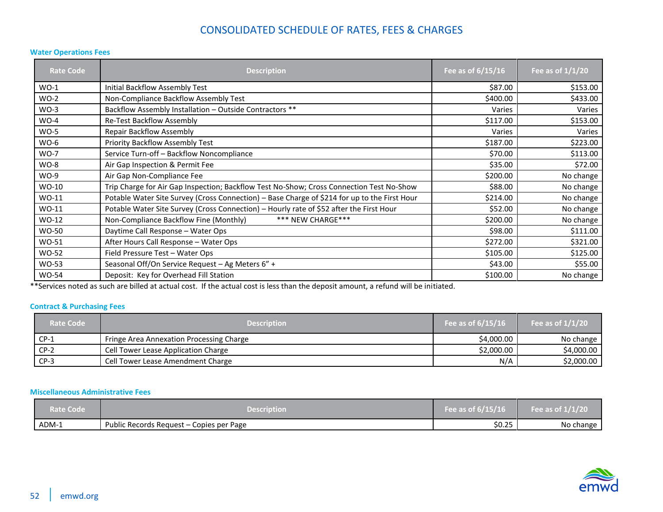#### <span id="page-51-0"></span>**Water Operations Fees**

| <b>Rate Code</b> | <b>Description</b>                                                                           | Fee as of 6/15/16 | Fee as of $1/1/20$ |
|------------------|----------------------------------------------------------------------------------------------|-------------------|--------------------|
| $WO-1$           | Initial Backflow Assembly Test                                                               | \$87.00           | \$153.00           |
| $WO-2$           | Non-Compliance Backflow Assembly Test                                                        | \$400.00          | \$433.00           |
| $WO-3$           | Backflow Assembly Installation - Outside Contractors **                                      | Varies            | Varies             |
| $WO-4$           | Re-Test Backflow Assembly                                                                    | \$117.00          | \$153.00           |
| $WO-5$           | <b>Repair Backflow Assembly</b>                                                              | Varies            | Varies             |
| $WO-6$           | Priority Backflow Assembly Test                                                              | \$187.00          | \$223.00           |
| <b>WO-7</b>      | Service Turn-off - Backflow Noncompliance                                                    | \$70.00           | \$113.00           |
| $WO-8$           | Air Gap Inspection & Permit Fee                                                              | \$35.00           | \$72.00            |
| $WO-9$           | Air Gap Non-Compliance Fee                                                                   | \$200.00          | No change          |
| WO-10            | Trip Charge for Air Gap Inspection; Backflow Test No-Show; Cross Connection Test No-Show     | \$88.00           | No change          |
| WO-11            | Potable Water Site Survey (Cross Connection) - Base Charge of \$214 for up to the First Hour | \$214.00          | No change          |
| $WO-11$          | Potable Water Site Survey (Cross Connection) - Hourly rate of \$52 after the First Hour      | \$52.00           | No change          |
| WO-12            | *** NEW CHARGE***<br>Non-Compliance Backflow Fine (Monthly)                                  | \$200.00          | No change          |
| WO-50            | Daytime Call Response - Water Ops                                                            | \$98.00           | \$111.00           |
| WO-51            | After Hours Call Response - Water Ops                                                        | \$272.00          | \$321.00           |
| <b>WO-52</b>     | Field Pressure Test - Water Ops                                                              | \$105.00          | \$125.00           |
| WO-53            | Seasonal Off/On Service Request - Ag Meters 6" +                                             | \$43.00           | \$55.00            |
| <b>WO-54</b>     | Deposit: Key for Overhead Fill Station                                                       | \$100.00          | No change          |

\*\*Services noted as such are billed at actual cost. If the actual cost is less than the deposit amount, a refund will be initiated.

#### <span id="page-51-1"></span>**Contract & Purchasing Fees**

| <b>Rate Code</b> | <b>Description</b>                       | Fee as of $6/15/16$ | Fee as of $1/1/20$ |
|------------------|------------------------------------------|---------------------|--------------------|
| $CP-1$           | Fringe Area Annexation Processing Charge | \$4,000.00          | No change          |
| $CP-2$           | Cell Tower Lease Application Charge      | \$2,000.00          | \$4,000.00         |
| $CP-3$           | Cell Tower Lease Amendment Charge        | N/A                 | \$2,000.00         |

#### <span id="page-51-2"></span>**Miscellaneous Administrative Fees**

| <b>Rate Code</b> | Description                              | Fee as of $\overline{6/15/16}$ | Fee as of $1/1/20$ |
|------------------|------------------------------------------|--------------------------------|--------------------|
| ADM-1            | Public Records Request – Copies per Page | \$0.25                         | No change          |

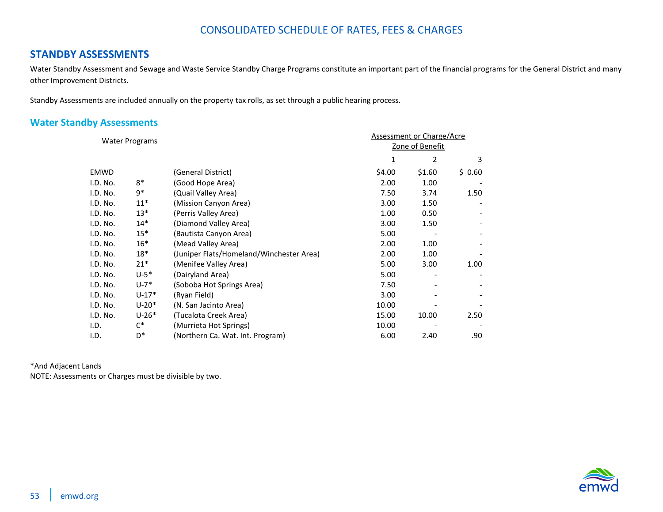### <span id="page-52-0"></span>**STANDBY ASSESSMENTS**

Water Standby Assessment and Sewage and Waste Service Standby Charge Programs constitute an important part of the financial programs for the General District and many other Improvement Districts.

Standby Assessments are included annually on the property tax rolls, as set through a public hearing process.

### <span id="page-52-1"></span>**Water Standby Assessments**

| <b>Water Programs</b> |          |                                          |          | <b>Assessment or Charge/Acre</b> |          |  |
|-----------------------|----------|------------------------------------------|----------|----------------------------------|----------|--|
|                       |          |                                          |          | Zone of Benefit                  |          |  |
|                       |          |                                          | <u>1</u> | $\overline{2}$                   | <u>3</u> |  |
| <b>EMWD</b>           |          | (General District)                       | \$4.00   | \$1.60                           | \$0.60   |  |
| I.D. No.              | $8*$     | (Good Hope Area)                         | 2.00     | 1.00                             |          |  |
| I.D. No.              | 9*       | (Quail Valley Area)                      | 7.50     | 3.74                             | 1.50     |  |
| I.D. No.              | $11*$    | (Mission Canyon Area)                    | 3.00     | 1.50                             |          |  |
| I.D. No.              | $13*$    | (Perris Valley Area)                     | 1.00     | 0.50                             |          |  |
| I.D. No.              | $14*$    | (Diamond Valley Area)                    | 3.00     | 1.50                             |          |  |
| I.D. No.              | $15*$    | (Bautista Canyon Area)                   | 5.00     |                                  |          |  |
| I.D. No.              | $16*$    | (Mead Valley Area)                       | 2.00     | 1.00                             |          |  |
| I.D. No.              | 18*      | (Juniper Flats/Homeland/Winchester Area) | 2.00     | 1.00                             |          |  |
| I.D. No.              | $21*$    | (Menifee Valley Area)                    | 5.00     | 3.00                             | 1.00     |  |
| I.D. No.              | $U - 5*$ | (Dairyland Area)                         | 5.00     |                                  |          |  |
| I.D. No.              | $U - 7*$ | (Soboba Hot Springs Area)                | 7.50     |                                  |          |  |
| I.D. No.              | $U-17*$  | (Ryan Field)                             | 3.00     |                                  |          |  |
| I.D. No.              | $U-20*$  | (N. San Jacinto Area)                    | 10.00    |                                  |          |  |
| I.D. No.              | $U-26*$  | (Tucalota Creek Area)                    | 15.00    | 10.00                            | 2.50     |  |
| I.D.                  | C*       | (Murrieta Hot Springs)                   | 10.00    |                                  |          |  |
| I.D.                  | D*       | (Northern Ca. Wat. Int. Program)         | 6.00     | 2.40                             | .90      |  |

\*And Adjacent Lands NOTE: Assessments or Charges must be divisible by two.

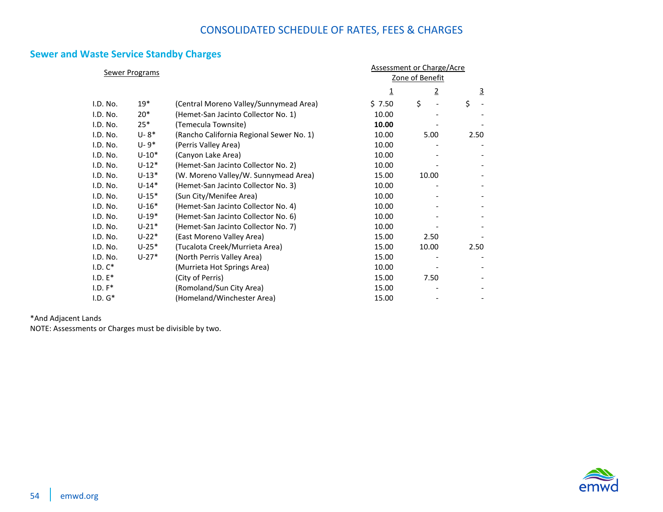### <span id="page-53-0"></span>**Sewer and Waste Service Standby Charges**

| <b>Sewer Programs</b> |           |                                          | <b>Assessment or Charge/Acre</b> |                 |                |
|-----------------------|-----------|------------------------------------------|----------------------------------|-----------------|----------------|
|                       |           |                                          |                                  | Zone of Benefit |                |
|                       |           |                                          | $\overline{\mathbf{1}}$          | $\overline{2}$  | $\overline{3}$ |
| I.D. No.              | $19*$     | (Central Moreno Valley/Sunnymead Area)   | \$7.50                           | \$              | \$             |
| I.D. No.              | $20*$     | (Hemet-San Jacinto Collector No. 1)      | 10.00                            |                 |                |
| I.D. No.              | $25*$     | (Temecula Townsite)                      | 10.00                            |                 |                |
| I.D. No.              | $U - 8*$  | (Rancho California Regional Sewer No. 1) | 10.00                            | 5.00            | 2.50           |
| I.D. No.              | $U - 9*$  | (Perris Valley Area)                     | 10.00                            |                 |                |
| I.D. No.              | $U-10*$   | (Canyon Lake Area)                       | 10.00                            |                 |                |
| I.D. No.              | $U-12*$   | (Hemet-San Jacinto Collector No. 2)      | 10.00                            |                 |                |
| I.D. No.              | $U-13*$   | (W. Moreno Valley/W. Sunnymead Area)     | 15.00                            | 10.00           |                |
| I.D. No.              | $U - 14*$ | (Hemet-San Jacinto Collector No. 3)      | 10.00                            |                 |                |
| I.D. No.              | $U-15*$   | (Sun City/Menifee Area)                  | 10.00                            |                 |                |
| I.D. No.              | $U-16*$   | (Hemet-San Jacinto Collector No. 4)      | 10.00                            |                 |                |
| I.D. No.              | $U-19*$   | (Hemet-San Jacinto Collector No. 6)      | 10.00                            |                 |                |
| I.D. No.              | $U - 21*$ | (Hemet-San Jacinto Collector No. 7)      | 10.00                            |                 |                |
| I.D. No.              | $U-22*$   | (East Moreno Valley Area)                | 15.00                            | 2.50            |                |
| I.D. No.              | $U-25*$   | (Tucalota Creek/Murrieta Area)           | 15.00                            | 10.00           | 2.50           |
| I.D. No.              | $U-27*$   | (North Perris Valley Area)               | 15.00                            |                 |                |
| $I.D. C*$             |           | (Murrieta Hot Springs Area)              | 10.00                            |                 |                |
| $I.D. E^*$            |           | (City of Perris)                         | 15.00                            | 7.50            |                |
| $I.D. F*$             |           | (Romoland/Sun City Area)                 | 15.00                            |                 |                |
| $I.D. G*$             |           | (Homeland/Winchester Area)               | 15.00                            |                 |                |

\*And Adjacent Lands

NOTE: Assessments or Charges must be divisible by two.

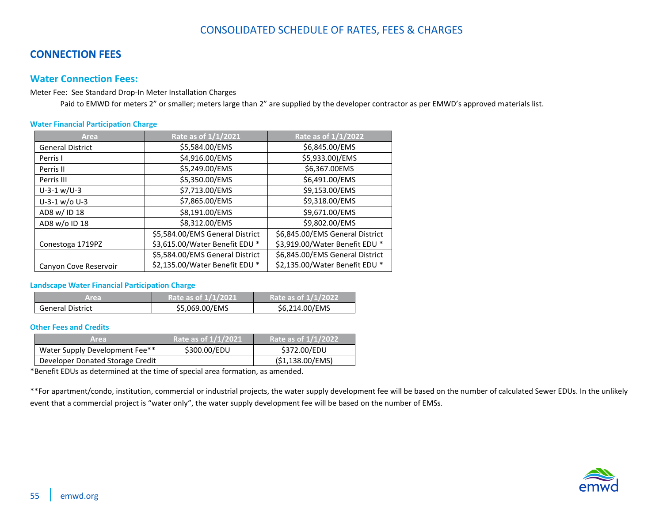### <span id="page-54-0"></span>**CONNECTION FEES**

#### <span id="page-54-1"></span>**Water Connection Fees:**

Meter Fee: See Standard Drop-In Meter Installation Charges

Paid to EMWD for meters 2" or smaller; meters large than 2" are supplied by the developer contractor as per EMWD's approved materials list.

#### <span id="page-54-2"></span>**Water Financial Participation Charge**

| Area                    | Rate as of 1/1/2021             | Rate as of 1/1/2022             |  |
|-------------------------|---------------------------------|---------------------------------|--|
| <b>General District</b> | \$5,584.00/EMS                  | \$6,845.00/EMS                  |  |
| Perris I                | \$4,916.00/EMS                  | \$5,933.00)/EMS                 |  |
| Perris II               | \$5,249.00/EMS                  | \$6,367.00EMS                   |  |
| Perris III              | \$5,350.00/EMS                  | \$6,491.00/EMS                  |  |
| $U-3-1 w/U-3$           | \$7,713.00/EMS                  | \$9,153.00/EMS                  |  |
| $U-3-1$ w/o U-3         | \$7,865.00/EMS                  | \$9,318.00/EMS                  |  |
| AD8 w/ ID 18            | \$8,191.00/EMS                  | \$9,671.00/EMS                  |  |
| AD8 w/o ID 18           | \$8,312.00/EMS                  | \$9,802.00/EMS                  |  |
|                         | \$5,584.00/EMS General District | \$6,845.00/EMS General District |  |
| Conestoga 1719PZ        | \$3,615.00/Water Benefit EDU *  | \$3,919.00/Water Benefit EDU *  |  |
|                         | \$5,584.00/EMS General District | \$6,845.00/EMS General District |  |
| Canyon Cove Reservoir   | \$2,135.00/Water Benefit EDU *  | \$2,135.00/Water Benefit EDU *  |  |

#### <span id="page-54-3"></span>**Landscape Water Financial Participation Charge**

| Area.                   | Rate as of 1/1/2021 | Rate as of 1/1/2022 |
|-------------------------|---------------------|---------------------|
| <b>General District</b> | \$5,069.00/EMS      | \$6,214.00/EMS      |

#### <span id="page-54-4"></span>**Other Fees and Credits**

| 'Area                            | Rate as of 1/1/2021 | Rate as of 1/1/2022 |
|----------------------------------|---------------------|---------------------|
| Water Supply Development Fee**   | \$300.00/EDU        | \$372.00/EDU        |
| Developer Donated Storage Credit |                     | (\$1,138.00/EMS)    |

\*Benefit EDUs as determined at the time of special area formation, as amended.

\*\*For apartment/condo, institution, commercial or industrial projects, the water supply development fee will be based on the number of calculated Sewer EDUs. In the unlikely event that a commercial project is "water only", the water supply development fee will be based on the number of EMSs.

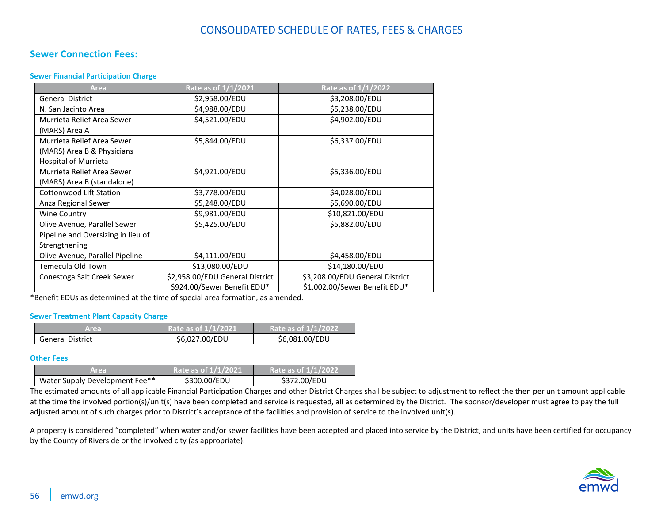#### <span id="page-55-0"></span>**Sewer Connection Fees:**

#### <span id="page-55-1"></span>**Sewer Financial Participation Charge**

| Area                               | Rate as of 1/1/2021             | Rate as of 1/1/2022             |
|------------------------------------|---------------------------------|---------------------------------|
| <b>General District</b>            | \$2,958.00/EDU                  | \$3,208.00/EDU                  |
| N. San Jacinto Area                | \$4,988.00/EDU                  | \$5,238.00/EDU                  |
| Murrieta Relief Area Sewer         | \$4,521.00/EDU                  | \$4,902.00/EDU                  |
| (MARS) Area A                      |                                 |                                 |
| Murrieta Relief Area Sewer         | \$5,844.00/EDU                  | \$6,337.00/EDU                  |
| (MARS) Area B & Physicians         |                                 |                                 |
| <b>Hospital of Murrieta</b>        |                                 |                                 |
| Murrieta Relief Area Sewer         | \$4,921.00/EDU                  | \$5,336.00/EDU                  |
| (MARS) Area B (standalone)         |                                 |                                 |
| Cottonwood Lift Station            | \$3,778.00/EDU                  | \$4,028.00/EDU                  |
| Anza Regional Sewer                | \$5,248.00/EDU                  | \$5,690.00/EDU                  |
| <b>Wine Country</b>                | \$9,981.00/EDU                  | \$10,821.00/EDU                 |
| Olive Avenue, Parallel Sewer       | \$5,425.00/EDU                  | \$5,882.00/EDU                  |
| Pipeline and Oversizing in lieu of |                                 |                                 |
| Strengthening                      |                                 |                                 |
| Olive Avenue, Parallel Pipeline    | \$4,111.00/EDU                  | \$4,458.00/EDU                  |
| Temecula Old Town                  | \$13,080.00/EDU                 | \$14,180.00/EDU                 |
| Conestoga Salt Creek Sewer         | \$2,958.00/EDU General District | \$3,208.00/EDU General District |
|                                    | \$924.00/Sewer Benefit EDU*     | \$1,002.00/Sewer Benefit EDU*   |

\*Benefit EDUs as determined at the time of special area formation, as amended.

#### <span id="page-55-2"></span>**Sewer Treatment Plant Capacity Charge**

| Area                    | Rate as of 1/1/2021 | Rate as of 1/1/2022 |  |
|-------------------------|---------------------|---------------------|--|
| <b>General District</b> | \$6,027.00/EDU      | \$6,081.00/EDU      |  |

#### <span id="page-55-3"></span>**Other Fees**

| Area.                          | Rate as of 1/1/2021 | Rate as of 1/1/2022 |
|--------------------------------|---------------------|---------------------|
| Water Supply Development Fee** | \$300.00/EDU        | \$372.00/EDU        |

The estimated amounts of all applicable Financial Participation Charges and other District Charges shall be subject to adjustment to reflect the then per unit amount applicable at the time the involved portion(s)/unit(s) have been completed and service is requested, all as determined by the District. The sponsor/developer must agree to pay the full adjusted amount of such charges prior to District's acceptance of the facilities and provision of service to the involved unit(s).

A property is considered "completed" when water and/or sewer facilities have been accepted and placed into service by the District, and units have been certified for occupancy by the County of Riverside or the involved city (as appropriate).

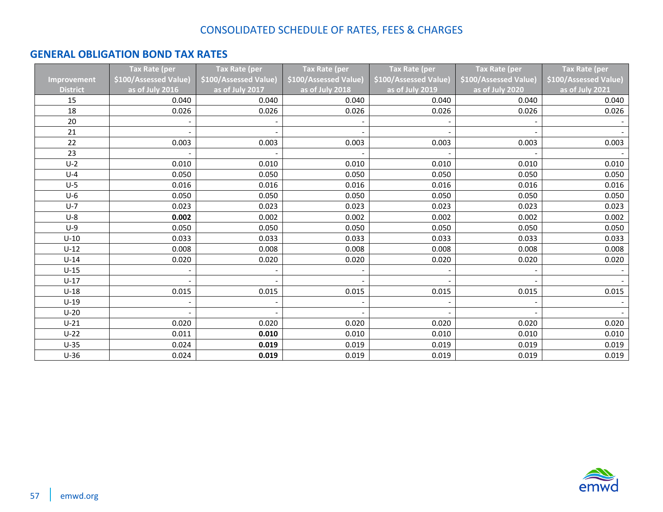## <span id="page-56-0"></span>**GENERAL OBLIGATION BOND TAX RATES**

|                 | <b>Tax Rate (per</b>  | <b>Tax Rate (per</b>  | Tax Rate (per         | <b>Tax Rate (per</b>  | <b>Tax Rate (per</b>  | <b>Tax Rate (per</b>  |
|-----------------|-----------------------|-----------------------|-----------------------|-----------------------|-----------------------|-----------------------|
| Improvement     | \$100/Assessed Value) | \$100/Assessed Value) | \$100/Assessed Value) | \$100/Assessed Value) | \$100/Assessed Value) | \$100/Assessed Value) |
| <b>District</b> | as of July 2016       | as of July 2017       | as of July 2018       | as of July 2019       | as of July 2020       | as of July 2021       |
| 15              | 0.040                 | 0.040                 | 0.040                 | 0.040                 | 0.040                 | 0.040                 |
| 18              | 0.026                 | 0.026                 | 0.026                 | 0.026                 | 0.026                 | 0.026                 |
| 20              |                       |                       |                       |                       |                       |                       |
| 21              |                       |                       |                       |                       |                       |                       |
| 22              | 0.003                 | 0.003                 | 0.003                 | 0.003                 | 0.003                 | 0.003                 |
| 23              |                       |                       |                       |                       |                       |                       |
| $U-2$           | 0.010                 | 0.010                 | 0.010                 | 0.010                 | 0.010                 | 0.010                 |
| $U-4$           | 0.050                 | 0.050                 | 0.050                 | 0.050                 | 0.050                 | 0.050                 |
| $U-5$           | 0.016                 | 0.016                 | 0.016                 | 0.016                 | 0.016                 | 0.016                 |
| $U-6$           | 0.050                 | 0.050                 | 0.050                 | 0.050                 | 0.050                 | 0.050                 |
| $U-7$           | 0.023                 | 0.023                 | 0.023                 | 0.023                 | 0.023                 | 0.023                 |
| $U-8$           | 0.002                 | 0.002                 | 0.002                 | 0.002                 | 0.002                 | 0.002                 |
| $U-9$           | 0.050                 | 0.050                 | 0.050                 | 0.050                 | 0.050                 | 0.050                 |
| $U-10$          | 0.033                 | 0.033                 | 0.033                 | 0.033                 | 0.033                 | 0.033                 |
| $U-12$          | 0.008                 | 0.008                 | 0.008                 | 0.008                 | 0.008                 | 0.008                 |
| $U-14$          | 0.020                 | 0.020                 | 0.020                 | 0.020                 | 0.020                 | 0.020                 |
| $U-15$          |                       |                       |                       |                       |                       |                       |
| $U-17$          |                       |                       |                       |                       |                       |                       |
| $U-18$          | 0.015                 | 0.015                 | 0.015                 | 0.015                 | 0.015                 | 0.015                 |
| $U-19$          |                       |                       |                       |                       |                       |                       |
| $U-20$          |                       |                       |                       |                       |                       |                       |
| $U-21$          | 0.020                 | 0.020                 | 0.020                 | 0.020                 | 0.020                 | 0.020                 |
| $U-22$          | 0.011                 | 0.010                 | 0.010                 | 0.010                 | 0.010                 | 0.010                 |
| $U-35$          | 0.024                 | 0.019                 | 0.019                 | 0.019                 | 0.019                 | 0.019                 |
| $U-36$          | 0.024                 | 0.019                 | 0.019                 | 0.019                 | 0.019                 | 0.019                 |